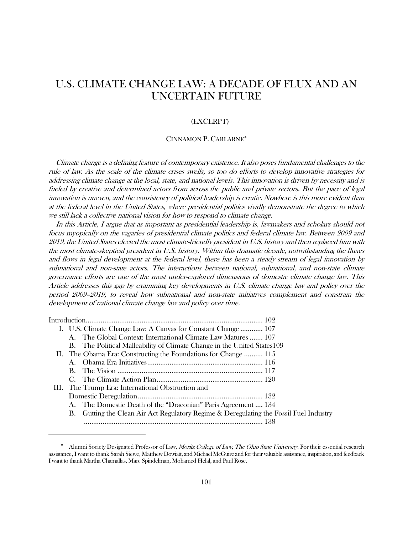# U.S. CLIMATE CHANGE LAW: A DECADE OF FLUX AND AN UNCERTAIN FUTURE

## (EXCERPT)

#### CINNAMON P. CARLARNE[∗](#page-0-0)

Climate change is a defining feature of contemporary existence. It also poses fundamental challenges to the rule of law. As the scale of the climate crises swells, so too do efforts to develop innovative strategies for addressing climate change at the local, state, and national levels. This innovation is driven by necessity and is fueled by creative and determined actors from across the public and private sectors. But the pace of legal innovation is uneven, and the consistency of political leadership is erratic. Nowhere is this more evident than at the federal level in the United States, where presidential politics vividly demonstrate the degree to which we still lack a collective national vision for how to respond to climate change.

In this Article, I argue that as important as presidential leadership is, lawmakers and scholars should not focus myopically on the vagaries of presidential climate politics and federal climate law. Between 2009 and 2019, the United States elected the most climate-friendly president in U.S. history and then replaced him with the most climate-skeptical president in U.S. history. Within this dramatic decade, notwithstanding the fluxes and flows in legal development at the federal level, there has been a steady stream of legal innovation by subnational and non-state actors. The interactions between national, subnational, and non-state climate governance efforts are one of the most under-explored dimensions of domestic climate change law. This Article addresses this gap by examining key developments in U.S. climate change law and policy over the period 2009–2019, to reveal how subnational and non-state initiatives complement and constrain the development of national climate change law and policy over time.

| I. U.S. Climate Change Law: A Canvas for Constant Change  107                          |
|----------------------------------------------------------------------------------------|
| A. The Global Context: International Climate Law Matures  107                          |
| B. The Political Malleability of Climate Change in the United States 109               |
| II. The Obama Era: Constructing the Foundations for Change  115                        |
|                                                                                        |
|                                                                                        |
|                                                                                        |
| III. The Trump Era: International Obstruction and                                      |
|                                                                                        |
| A. The Domestic Death of the "Draconian" Paris Agreement  134                          |
| B. Gutting the Clean Air Act Regulatory Regime & Deregulating the Fossil Fuel Industry |
|                                                                                        |
|                                                                                        |

<span id="page-0-0"></span>Alumni Society Designated Professor of Law, Moritz College of Law, The Ohio State University. For their essential research assistance, I want to thank Sarah Siewe, Matthew Dowiatt, and Michael McGuire and for their valuable assistance, inspiration, and feedback I want to thank Martha Chamallas, Marc Spindelman, Mohamed Helal, and Paul Rose.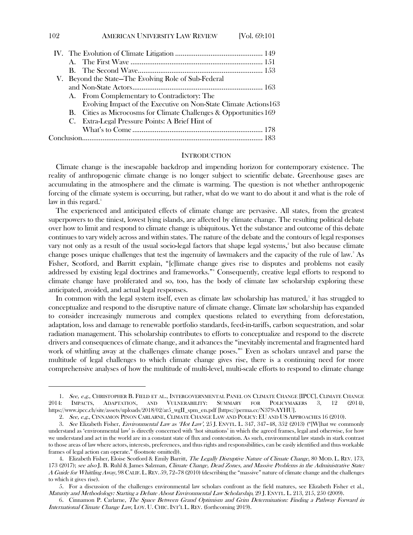|  | V. Beyond the State-The Evolving Role of Sub-Federal               |
|--|--------------------------------------------------------------------|
|  |                                                                    |
|  | A. From Complementary to Contradictory: The                        |
|  | Evolving Impact of the Executive on Non-State Climate Actions163   |
|  | B. Cities as Microcosms for Climate Challenges & Opportunities 169 |
|  | C. Extra-Legal Pressure Points: A Brief Hint of                    |
|  |                                                                    |
|  |                                                                    |
|  |                                                                    |

## **INTRODUCTION**

Climate change is the inescapable backdrop and impending horizon for contemporary existence. The reality of anthropogenic climate change is no longer subject to scientific debate. Greenhouse gases are accumulating in the atmosphere and the climate is warming. The question is not whether anthropogenic forcing of the climate system is occurring, but rather, what do we want to do about it and what is the role of law in this regard. $<sup>1</sup>$  $<sup>1</sup>$  $<sup>1</sup>$ </sup>

The experienced and anticipated effects of climate change are pervasive. All states, from the greatest superpowers to the tiniest, lowest lying islands, are affected by climate change. The resulting political debate over how to limit and respond to climate change is ubiquitous. Yet the substance and outcome of this debate continues to vary widely across and within states. The nature of the debate and the contours of legal responses vary not only as a result of the usual socio-legal factors that shape legal systems,<sup>2</sup> but also because climate change poses unique challenges that test the ingenuity of lawmakers and the capacity of the rule of law. $^3$  $^3$  As Fisher, Scotford, and Barritt explain, "[c]limate change gives rise to disputes and problems not easily addressed by existing legal doctrines and frameworks."[4](#page-1-3) Consequently, creative legal efforts to respond to climate change have proliferated and so, too, has the body of climate law scholarship exploring these anticipated, avoided, and actual legal responses.

In common with the legal system itself, even as climate law scholarship has matured,<sup>[5](#page-1-4)</sup> it has struggled to conceptualize and respond to the disruptive nature of climate change. Climate law scholarship has expanded to consider increasingly numerous and complex questions related to everything from deforestation, adaptation, loss and damage to renewable portfolio standards, feed-in-tariffs, carbon sequestration, and solar radiation management. This scholarship contributes to efforts to conceptualize and respond to the discrete drivers and consequences of climate change, and it advances the "inevitably incremental and fragmented hard work of whittling away at the challenges climate change poses."[6](#page-1-5) Even as scholars unravel and parse the multitude of legal challenges to which climate change gives rise, there is a continuing need for more comprehensive analyses of how the multitude of multi-level, multi-scale efforts to respond to climate change

<span id="page-1-0"></span><sup>1.</sup> See, e.g., CHRISTOPHER B. FIELD ET AL., INTERGOVERNMENTAL PANEL ON CLIMATE CHANGE [IPCC], CLIMATE CHANGE 2014: IMPACTS, ADAPTATION, AND VULNERABILITY: SUMMARY FOR POLICYMAKERS 3, 12 (2014), https://www.ipcc.ch/site/assets/uploads/2018/02/ar5\_wgII\_spm\_en.pdf [https://perma.cc/N379-AYHU].

<sup>2.</sup> See, e.g., CINNAMON PINON CARLARNE, CLIMATE CHANGE LAW AND POLICY: EU AND US APPROACHES 16 (2010).

<span id="page-1-2"></span><span id="page-1-1"></span><sup>3.</sup> See Elizabeth Fisher, *Environmental Law as 'Hot Law'*, 25 J. ENVTL. L. 347, 347-48, 352 (2013) ("[W]hat we commonly understand as 'environmental law' is directly concerned with 'hot situations' in which the agreed frames, legal and otherwise, for how we understand and act in the world are in a constant state of flux and contestation. As such, environmental law stands in stark contrast to those areas of law where actors, interests, preferences, and thus rights and responsibilities, can be easily identified and thus workable frames of legal action can operate." (footnote omitted)).

<span id="page-1-3"></span><sup>4.</sup> Elizabeth Fisher, Eloise Scotford & Emily Barritt, The Legally Disruptive Nature of Climate Change, 80 MOD. L. REV. 173, 173 (2017); see also J. B. Ruhl & James Salzman, Climate Change, Dead Zones, and Massive Problems in the Administrative State: A Guide for Whittling Away, 98 CALIF. L.REV. 59, 72–78 (2010) (describing the "massive" nature of climate change and the challenges to which it gives rise).

<span id="page-1-4"></span> <sup>5.</sup> For a discussion of the challenges environmental law scholars confront as the field matures, see Elizabeth Fisher et al., Maturity and Methodology: Starting a Debate About Environmental Law Scholarship, 29 J. ENVTL. L. 213, 215, 250 (2009).

<span id="page-1-5"></span> <sup>6.</sup> Cinnamon P. Carlarne, The Space Between Grand Optimism and Grim Determination: Finding a Pathway Forward in International Climate Change Law, LOY. U. CHIC. INT'L L. REV. (forthcoming 2019).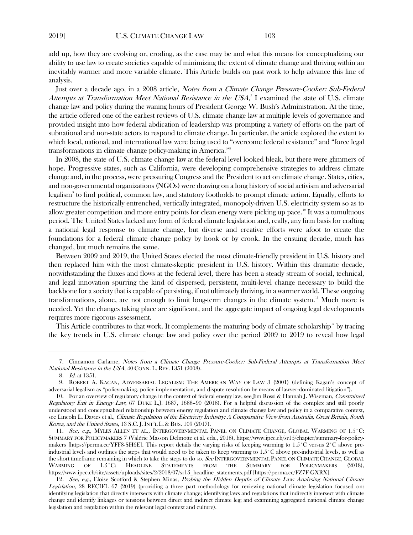add up, how they are evolving or, eroding, as the case may be and what this means for conceptualizing our ability to use law to create societies capable of minimizing the extent of climate change and thriving within an inevitably warmer and more variable climate. This Article builds on past work to help advance this line of analysis.

<span id="page-2-6"></span>Just over a decade ago, in a 2008 article, *Notes from a Climate Change Pressure-Cooker: Sub-Federal* Attempts at Transformation Meet National Resistance in the USA,<sup>[7](#page-2-0)</sup> I examined the state of U.S. climate change law and policy during the waning hours of President George W. Bush's Administration. At the time, the article offered one of the earliest reviews of U.S. climate change law at multiple levels of governance and provided insight into how federal abdication of leadership was prompting a variety of efforts on the part of subnational and non-state actors to respond to climate change. In particular, the article explored the extent to which local, national, and international law were being used to "overcome federal resistance" and "force legal transformations in climate change policy-making in America."[8](#page-2-1)

In 2008, the state of U.S. climate change law at the federal level looked bleak, but there were glimmers of hope. Progressive states, such as California, were developing comprehensive strategies to address climate change and, in the process, were pressuring Congress and the President to act on climate change. States, cities, and non-governmental organizations (NGOs) were drawing on a long history of social activism and adversarial legalism[9](#page-2-2) to find political, common law, and statutory footholds to prompt climate action. Equally, efforts to restructure the historically entrenched, vertically integrated, monopoly-driven U.S. electricity system so as to allow greater competition and more entry points for clean energy were picking up pace.<sup>[10](#page-2-3)</sup> It was a tumultuous period. The United States lacked any form of federal climate legislation and, really, any firm basis for crafting a national legal response to climate change, but diverse and creative efforts were afoot to create the foundations for a federal climate change policy by hook or by crook. In the ensuing decade, much has changed, but much remains the same.

Between 2009 and 2019, the United States elected the most climate-friendly president in U.S. history and then replaced him with the most climate-skeptic president in U.S. history. Within this dramatic decade, notwithstanding the fluxes and flows at the federal level, there has been a steady stream of social, technical, and legal innovation spurring the kind of dispersed, persistent, multi-level change necessary to build the backbone for a society that is capable of persisting, if not ultimately thriving, in a warmer world. These ongoing transformations, alone, are not enough to limit long-term changes in the climate system.<sup>[11](#page-2-4)</sup> Much more is needed. Yet the changes taking place are significant, and the aggregate impact of ongoing legal developments requires more rigorous assessment.

This Article contributes to that work. It complements the maturing body of climate scholarship $\frac{12}{12}$  $\frac{12}{12}$  $\frac{12}{12}$  by tracing the key trends in U.S. climate change law and policy over the period 2009 to 2019 to reveal how legal

<span id="page-2-0"></span><sup>7.</sup> Cinnamon Carlarne, Notes from a Climate Change Pressure-Cooker: Sub-Federal Attempts at Transformation Meet National Resistance in the USA, 40 CONN. L. REV. 1351 (2008).

<sup>8</sup>. Id. at 1351.

<span id="page-2-2"></span><span id="page-2-1"></span><sup>9.</sup> ROBERT A. KAGAN, ADVERSARIAL LEGALISM: THE AMERICAN WAY OF LAW 3 (2001) (defining Kagan's concept of adversarial legalism as "policymaking, policy implementation, and dispute resolution by means of lawyer-dominated litigation").

<span id="page-2-3"></span><sup>10.</sup> For an overview of regulatory change in the context of federal energy law, see Jim Rossi & Hannah J. Wiseman, Constrained Regulatory Exit in Energy Law, 67 DUKE L.J. 1687, 1688-90 (2018). For a helpful discussion of the complex and still poorly understood and conceptualized relationship between energy regulation and climate change law and policy in a comparative context, see Lincoln L. Davies et al., *Climate Regulation of the Electricity Industry: A Comparative View from Australia, Great Britain, South* Korea, and the United States, 13 S.C. J. INT'L L. & BUS. 109 (2017).

<span id="page-2-4"></span><sup>11.</sup> See, e.g., MYLES ALLEN ET AL., INTERGOVERNMENTAL PANEL ON CLIMATE CHANGE, GLOBAL WARMING OF 1.5˚C: SUMMARY FOR POLICYMAKERS 7 (Valérie Masson Delmotte et al. eds., 2018), https://www.ipcc.ch/sr15/chapter/summary-for-policymakers [https://perma.cc/YFF8-SH6E]. This report details the varying risks of keeping warming to 1.5˚C versus 2˚C above preindustrial levels and outlines the steps that would need to be taken to keep warming to 1.5˚C above pre-industrial levels, as well as the short timeframe remaining in which to take the steps to do so. See INTERGOVERNMENTAL PANEL ON CLIMATE CHANGE, GLOBAL WARMING OF 1.5˚C: HEADLINE STATEMENTS FROM THE SUMMARY FOR POLICYMAKERS (2018), https://www.ipcc.ch/site/assets/uploads/sites/2/2018/07/sr15\_headline\_statements.pdf [https://perma.cc/FZ7F-GXRX].

<span id="page-2-5"></span><sup>12.</sup> See, e.g., Eloise Scotford & Stephen Minas, Probing the Hidden Depths of Climate Law: Analysing National Climate Legislation, 28 RECIEL 67 (2019) (providing a three part methodology for reviewing national climate legislation focused on: identifying legislation that directly intersects with climate change; identifying laws and regulations that indirectly intersect with climate change and identify linkages or tensions between direct and indirect climate leg; and examining aggregated national climate change legislation and regulation within the relevant legal context and culture).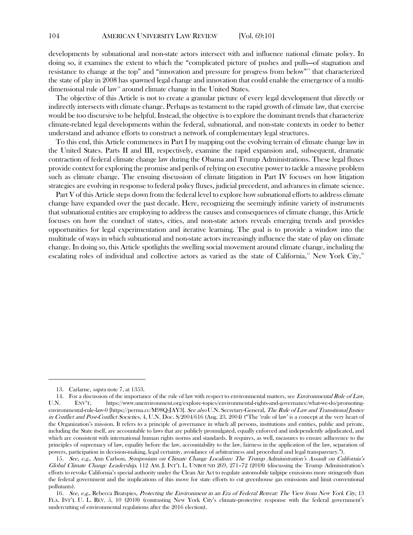developments by subnational and non-state actors intersect with and influence national climate policy. In doing so, it examines the extent to which the "complicated picture of pushes and pulls—of stagnation and resistance to change at the top" and "innovation and pressure for progress from below["13](#page-3-0) that characterized the state of play in 2008 has spawned legal change and innovation that could enable the emergence of a multi-dimensional rule of law<sup>[14](#page-3-1)</sup> around climate change in the United States.

The objective of this Article is not to create a granular picture of every legal development that directly or indirectly intersects with climate change. Perhaps as testament to the rapid growth of climate law, that exercise would be too discursive to be helpful. Instead, the objective is to explore the dominant trends that characterize climate-related legal developments within the federal, subnational, and non-state contexts in order to better understand and advance efforts to construct a network of complementary legal structures.

To this end, this Article commences in Part I by mapping out the evolving terrain of climate change law in the United States. Parts II and III, respectively, examine the rapid expansion and, subsequent, dramatic contraction of federal climate change law during the Obama and Trump Administrations. These legal fluxes provide context for exploring the promise and perils of relying on executive power to tackle a massive problem such as climate change. The ensuing discussion of climate litigation in Part IV focuses on how litigation strategies are evolving in response to federal policy fluxes, judicial precedent, and advances in climate science.

<span id="page-3-5"></span><span id="page-3-4"></span>Part V of this Article steps down from the federal level to explore how subnational efforts to address climate change have expanded over the past decade. Here, recognizing the seemingly infinite variety of instruments that subnational entities are employing to address the causes and consequences of climate change, this Article focuses on how the conduct of states, cities, and non-state actors reveals emerging trends and provides opportunities for legal experimentation and iterative learning. The goal is to provide a window into the multitude of ways in which subnational and non-state actors increasingly influence the state of play on climate change. In doing so, this Article spotlights the swelling social movement around climate change, including the escalating roles of individual and collective actors as varied as the state of California,<sup>[15](#page-3-2)</sup> New York City,<sup>16</sup>

<sup>13.</sup> Carlarne, supra note [7,](#page-2-6) at 1353.

<span id="page-3-1"></span><span id="page-3-0"></span><sup>14.</sup> For a discussion of the importance of the rule of law with respect to environmental matters, see *Environmental Rule of Law*, U.N. ENV'T, https://www.unenvironment.org/explore-topics/environmental-rights-and-governance/what-we-do/promotingenvironmental-rule-law-0 [https://perma.cc/M98Q-JAY3]. See also U.N. Secretary-General, The Rule of Law and Transitional Justice in Conflict and Post-Conflict Societies, 4, U.N. Doc. S/2004/616 (Aug. 23, 2004) ("The 'rule of law' is a concept at the very heart of the Organization's mission. It refers to a principle of governance in which all persons, institutions and entities, public and private, including the State itself, are accountable to laws that are publicly promulgated, equally enforced and independently adjudicated, and which are consistent with international human rights norms and standards. It requires, as well, measures to ensure adherence to the principles of supremacy of law, equality before the law, accountability to the law, fairness in the application of the law, separation of powers, participation in decision-making, legal certainty, avoidance of arbitrariness and procedural and legal transparency.").

<span id="page-3-2"></span><sup>15.</sup> See, e.g., Ann Carlson, Symposium on Climate Change Localism: The Trump Administration's Assault on California's Global Climate Change Leadership, 112 AM. J. INT'L L. UNBOUND 269, 271–72 (2018) (discussing the Trump Administration's efforts to revoke California's special authority under the Clean Air Act to regulate automobile tailpipe emissions more stringently than the federal government and the implications of this move for state efforts to cut greenhouse gas emissions and limit conventional pollutants).

<span id="page-3-3"></span><sup>16.</sup> See, e.g., Rebecca Bratspies, Protecting the Environment in an Era of Federal Retreat: The View from New York City, 13 FLA. INT'L U. L. REV. 5, 10 (2018) (contrasting New York City's climate-protective response with the federal government's undercutting of environmental regulations after the 2016 election).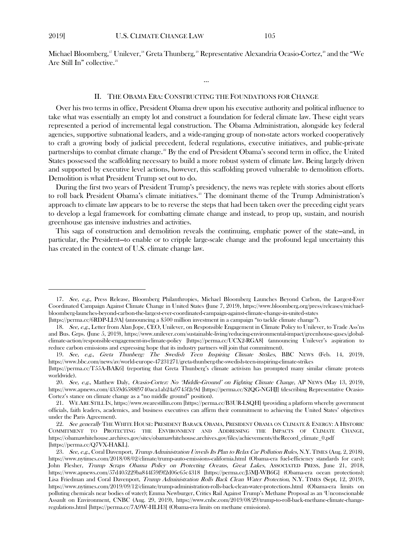Michael Bloomberg,<sup>[17](#page-4-0)</sup> Unilever,<sup>18</sup> Greta Thunberg,<sup>[19](#page-4-2)</sup> Representative Alexandria Ocasio-Cortez,<sup>[20](#page-4-3)</sup> and the "We Are Still In" collective.<sup>[21](#page-4-4)</sup>

#### <span id="page-4-7"></span>II. THE OBAMA ERA: CONSTRUCTING THE FOUNDATIONS FOR CHANGE

…

Over his two terms in office, President Obama drew upon his executive authority and political influence to take what was essentially an empty lot and construct a foundation for federal climate law. These eight years represented a period of incremental legal construction. The Obama Administration, alongside key federal agencies, supportive subnational leaders, and a wide-ranging group of non-state actors worked cooperatively to craft a growing body of judicial precedent, federal regulations, executive initiatives, and public-private partnerships to combat climate change.<sup>[22](#page-4-5)</sup> By the end of President Obama's second term in office, the United States possessed the scaffolding necessary to build a more robust system of climate law. Being largely driven and supported by executive level actions, however, this scaffolding proved vulnerable to demolition efforts. Demolition is what President Trump set out to do.

During the first two years of President Trump's presidency, the news was replete with stories about efforts to roll back President Obama's climate initiatives.<sup>[23](#page-4-6)</sup> The dominant theme of the Trump Administration's approach to climate law appears to be to reverse the steps that had been taken over the preceding eight years to develop a legal framework for combatting climate change and instead, to prop up, sustain, and nourish greenhouse gas intensive industries and activities.

This saga of construction and demolition reveals the continuing, emphatic power of the state—and, in particular, the President—to enable or to cripple large-scale change and the profound legal uncertainty this has created in the context of U.S. climate change law.

<span id="page-4-0"></span><sup>17.</sup> See, e.g., Press Release, Bloomberg Philanthropies, Michael Bloomberg Launches Beyond Carbon, the Largest-Ever Coordinated Campaign Against Climate Change in United States (June 7, 2019), https://www.bloomberg.org/press/releases/michaelbloomberg-launches-beyond-carbon-the-largest-ever-coordinated-campaign-against-climate-change-in-united-states [https://perma.cc/6RDP-LL9A] (announcing a \$500 million investment in a campaign "to tackle climate change").

<span id="page-4-1"></span><sup>18.</sup> See, e.g., Letter from Alan Jope, CEO, Unilever, on Responsible Engagement in Climate Policy to Unilever, to Trade Ass'ns and Bus. Grps. (June 5, 2019), https://www.unilever.com/sustainable-living/reducing-environmental-impact/greenhouse-gases/globalclimate-action/responsible-engagement-in-climate-policy [https://perma.cc/UCX2-RGA8] (announcing Unilever's aspiration to reduce carbon emissions and expressing hope that its industry partners will join that commitment).

<span id="page-4-2"></span><sup>19.</sup> See, e.g., Greta Thunberg: The Swedish Teen Inspiring Climate Strikes, BBC NEWS (Feb. 14, 2019), https://www.bbc.com/news/av/world-europe-47231271/greta-thunberg-the-swedish-teen-inspiring-climate-strikes

<sup>[</sup>https://perma.cc/T55A-BAK6] (reporting that Greta Thunberg's climate activism has prompted many similar climate protests worldwide).

<span id="page-4-3"></span><sup>20.</sup> See, e.g., Matthew Daly, Ocasio-Cortez: No 'Middle-Ground' on Fighting Climate Change, AP NEWS (May 13, 2019), https://www.apnews.com/4359d6588f9740aca1ab24a9745f2c9d [https://perma.cc/S2QG-NGHJ] (describing Representative Ocasio-Cortez's stance on climate change as a "no middle ground" position).

<span id="page-4-4"></span><sup>21.</sup> WE ARE STILL IN, https://www.wearestillin.com [https://perma.cc/B3UR-LSQH] (providing a platform whereby government officials, faith leaders, academics, and business executives can affirm their commitment to achieving the United States' objectives under the Paris Agreement).

<span id="page-4-5"></span><sup>22.</sup> See generally THE WHITE HOUSE: PRESIDENT BARACK OBAMA, PRESIDENT OBAMA ON CLIMATE & ENERGY: A HISTORIC COMMITMENT TO PROTECTING THE ENVIRONMENT AND ADDRESSING THE IMPACTS OF CLIMATE CHANGE, https://obamawhitehouse.archives.gov/sites/obamawhitehouse.archives.gov/files/achievements/theRecord\_climate\_0.pdf [https://perma.cc/Q7VX-HAKL].

<span id="page-4-6"></span><sup>23.</sup> See, e.g., Coral Davenport, Trump Administration Unveils Its Plan to Relax Car Pollution Rules, N.Y. TIMES (Aug. 2, 2018), https://www.nytimes.com/2018/08/02/climate/trump-auto-emissions-california.html (Obama-era fuel-efficiency standards for cars); John Flesher, Trump Scraps Obama Policy on Protecting Oceans, Great Lakes, ASSOCIATED PRESS, June 21, 2018, https://www.apnews.com/57d405229ba844f59f9f2d06c65c4318 [https://perma.cc/J5MJ-WB6G] (Obama-era ocean protections); Lisa Friedman and Coral Davenport, Trump Administration Rolls Back Clean Water Protection, N.Y. TIMES (Sept, 12, 2019), https://www.nytimes.com/2019/09/12/climate/trump-administration-rolls-back-clean-water-protections.html (Obama-era limits on polluting chemicals near bodies of water); Emma Newburger, Critics Rail Against Trump's Methane Proposal as an 'Unconscionable Assault on Environment, CNBC (Aug. 29, 2019), https://www.cnbc.com/2019/08/29/trump-to-roll-back-methane-climate-changeregulations.html [https://perma.cc/7A9W-HLH3] (Obama-era limits on methane emissions).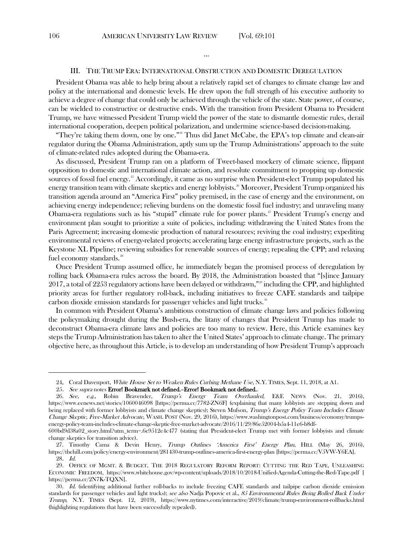#### III. THE TRUMP ERA: INTERNATIONAL OBSTRUCTION AND DOMESTIC DEREGULATION

…

President Obama was able to help bring about a relatively rapid set of changes to climate change law and policy at the international and domestic levels. He drew upon the full strength of his executive authority to achieve a degree of change that could only be achieved through the vehicle of the state. State power, of course, can be wielded to constructive or destructive ends. With the transition from President Obama to President Trump, we have witnessed President Trump wield the power of the state to dismantle domestic rules, derail international cooperation, deepen political polarization, and undermine science-based decision-making.

"They're taking them down, one by one."<sup>[24](#page-5-0)</sup> Thus did Janet McCabe, the EPA's top climate and clean-air regulator during the Obama Administration, aptly sum up the Trump Administrations' approach to the suite of climate-related rules adopted during the Obama-era.

As discussed, President Trump ran on a platform of Tweet-based mockery of climate science, flippant opposition to domestic and international climate action, and resolute commitment to propping up domestic sources of fossil fuel energy.<sup>[25](#page-5-1)</sup> Accordingly, it came as no surprise when President-elect Trump populated his energy transition team with climate skeptics and energy lobbyists.<sup>[26](#page-5-2)</sup> Moreover, President Trump organized his transition agenda around an "America First" policy premised, in the case of energy and the environment, on achieving energy independence; relieving burdens on the domestic fossil fuel industry; and unraveling many Obama-era regulations such as his "stupid" climate rule for power plants.<sup>[27](#page-5-3)</sup> President Trump's energy and environment plan sought to prioritize a suite of policies, including: withdrawing the United States from the Paris Agreement; increasing domestic production of natural resources; reviving the coal industry; expediting environmental reviews of energy-related projects; accelerating large energy infrastructure projects, such as the Keystone XL Pipeline; reviewing subsidies for renewable sources of energy; repealing the CPP; and relaxing fuel economy standards.<sup>[28](#page-5-4)</sup>

Once President Trump assumed office, he immediately began the promised process of deregulation by rolling back Obama-era rules across the board. By 2018, the Administration boasted that "[s]ince January 2017, a total of 2253 regulatory actions have been delayed or withdrawn,"[29](#page-5-5) including the CPP, and highlighted priority areas for further regulatory roll-back, including initiatives to freeze CAFE standards and tailpipe carbon dioxide emission standards for passenger vehicles and light trucks.<sup>[30](#page-5-6)</sup>

In common with President Obama's ambitious construction of climate change laws and policies following the policymaking drought during the Bush-era, the litany of changes that President Trump has made to deconstruct Obama-era climate laws and policies are too many to review. Here, this Article examines key steps the Trump Administration has taken to alter the United States' approach to climate change. The primary objective here, as throughout this Article, is to develop an understanding of how President Trump's approach

<sup>24.</sup> Coral Davenport, White House Set to Weaken Rules Curbing Methane Use, N.Y. TIMES, Sept. 11, 2018, at A1.

<sup>25.</sup> See supra notes Error! Bookmark not defined.-Error! Bookmark not defined..

<span id="page-5-2"></span><span id="page-5-1"></span><span id="page-5-0"></span><sup>26.</sup> See, e.g., Robin Bravender, Trump's Energy Team Overhauled, E&E NEWS (Nov. 21, 2016), https://www.eenews.net/stories/1060046098 [https://perma.cc/7782-ZN6F] (explaining that many lobbyists are stepping down and being replaced with former lobbyists and climate change skeptics); Steven Mufson, Trump's Energy Policy Team Includes Climate Change Skeptic, Free-Market Advocate, WASH. POST (Nov. 29, 2016), https://www.washingtonpost.com/business/economy/trumpsenergy-policy-team-includes-climate-change-skeptic-free-market-advocate/2016/11/29/86e52004-b5a4-11e6-b8df-

<sup>600</sup>bd9d38a02\_story.html?utm\_term=.6e9512e4c477 (stating that President-elect Trump met with former lobbyists and climate change skeptics for transition advice).

<span id="page-5-3"></span><sup>27.</sup> Timothy Cama & Devin Henry, Trump Outlines 'America First' Energy Plan, HILL (May 26, 2016), https://thehill.com/policy/energy-environment/281430-trump-outlines-america-first-energy-plan [https://perma.cc/V5VW-Y6EA]. 28. Id.

<span id="page-5-5"></span><span id="page-5-4"></span><sup>29.</sup> OFFICE OF MGMT. & BUDGET, THE 2018 REGULATORY REFORM REPORT: CUTTING THE RED TAPE, UNLEASHING ECONOMIC FREEDOM, https://www.whitehouse.gov/wp-content/uploads/2018/10/2018-Unified-Agenda-Cutting-the-Red-Tape.pdf [ https://perma.cc/2N7K-TQXN].

<span id="page-5-6"></span><sup>30.</sup> Id. (identifying additional further roll-backs to include freezing CAFE standards and tailpipe carbon dioxide emission standards for passenger vehicles and light trucks); see also Nadja Popovic et al., 85 Environmental Rules Being Rolled Back Under Trump, N.Y. TIMES (Sept. 12, 2019), https://www.nytimes.com/interactive/2019/climate/trump-environment-rollbacks.html (highlighting regulations that have been successfully repealed).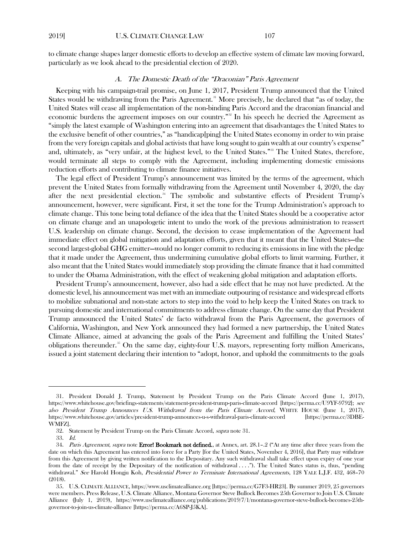to climate change shapes larger domestic efforts to develop an effective system of climate law moving forward, particularly as we look ahead to the presidential election of 2020.

## <span id="page-6-0"></span>A. The Domestic Death of the "Draconian" Paris Agreement

Keeping with his campaign-trail promise, on June 1, 2017, President Trump announced that the United States would be withdrawing from the Paris Agreement.<sup>[31](#page-6-1)</sup> More precisely, he declared that "as of today, the United States will cease all implementation of the non-binding Paris Accord and the draconian financial and economic burdens the agreement imposes on our country."<sup>[32](#page-6-2)</sup> In his speech he decried the Agreement as "simply the latest example of Washington entering into an agreement that disadvantages the United States to the exclusive benefit of other countries," as "handicap[ping] the United States economy in order to win praise from the very foreign capitals and global activists that have long sought to gain wealth at our country's expense" and, ultimately, as "very unfair, at the highest level, to the United States."<sup>[33](#page-6-3)</sup> The United States, therefore, would terminate all steps to comply with the Agreement, including implementing domestic emissions reduction efforts and contributing to climate finance initiatives.

The legal effect of President Trump's announcement was limited by the terms of the agreement, which prevent the United States from formally withdrawing from the Agreement until November 4, 2020, the day after the next presidential election.<sup>[34](#page-6-4)</sup> The symbolic and substantive effects of President Trump's announcement, however, were significant. First, it set the tone for the Trump Administration's approach to climate change. This tone being total defiance of the idea that the United States should be a cooperative actor on climate change and an unapologetic intent to undo the work of the previous administration to reassert U.S. leadership on climate change. Second, the decision to cease implementation of the Agreement had immediate effect on global mitigation and adaptation efforts, given that it meant that the United States—the second largest-global GHG emitter—would no longer commit to reducing its emissions in line with the pledge that it made under the Agreement, thus undermining cumulative global efforts to limit warming. Further, it also meant that the United States would immediately stop providing the climate finance that it had committed to under the Obama Administration, with the effect of weakening global mitigation and adaptation efforts.

President Trump's announcement, however, also had a side effect that he may not have predicted. At the domestic level, his announcement was met with an immediate outpouring of resistance and widespread efforts to mobilize subnational and non-state actors to step into the void to help keep the United States on track to pursuing domestic and international commitments to address climate change. On the same day that President Trump announced the United States' de facto withdrawal from the Paris Agreement, the governors of California, Washington, and New York announced they had formed a new partnership, the United States Climate Alliance, aimed at advancing the goals of the Paris Agreement and fulfilling the United States' obligations thereunder.<sup>[35](#page-6-5)</sup> On the same day, eighty-four U.S. mayors, representing forty million Americans, issued a joint statement declaring their intention to "adopt, honor, and uphold the commitments to the goals

<span id="page-6-7"></span><span id="page-6-2"></span><span id="page-6-1"></span><sup>31.</sup> President Donald J. Trump, Statement by President Trump on the Paris Climate Accord (June 1, 2017), https://www.whitehouse.gov/briefings-statements/statement-president-trump-paris-climate-accord [https://perma.cc/U9YF-9792]; see also President Trump Announces U.S. Withdrawal from the Paris Climate Accord, WHITE HOUSE (June 1, 2017), https://www.whitehouse.gov/articles/president-trump-announces-u-s-withdrawal-paris-climate-accord [https://perma.cc/3DBE-WMFZ].

<sup>32.</sup> Statement by President Trump on the Paris Climate Accord, supra not[e 31.](#page-6-0)

<sup>33.</sup> Id.

<span id="page-6-5"></span><span id="page-6-4"></span><span id="page-6-3"></span><sup>34.</sup> Paris Agreement, supra note Error! Bookmark not defined., at Annex, art. 28.1-.2 ("At any time after three years from the date on which this Agreement has entered into force for a Party [for the United States, November 4, 2016], that Party may withdraw from this Agreement by giving written notification to the Depositary. Any such withdrawal shall take effect upon expiry of one year from the date of receipt by the Depositary of the notification of withdrawal . . . ."). The United States status is, thus, "pending withdrawal." See Harold Hongju Koh, Presidential Power to Terminate International Agreements, 128 YALE L.J.F. 432, 468-70 (2018).

<span id="page-6-6"></span><sup>35.</sup> U.S. CLIMATE ALLIANCE, https://www.usclimatealliance.org [https://perma.cc/G7F3-HR23]. By summer 2019, 25 governors were members. Press Release, U.S. Climate Alliance, Montana Governor Steve Bullock Becomes 25th Governor to Join U.S. Climate Alliance (July 1, 2019), https://www.usclimatealliance.org/publications/2019/7/1/montana-governor-steve-bullock-becomes-25thgovernor-to-join-us-climate-alliance [https://perma.cc/A6SP-J5KA].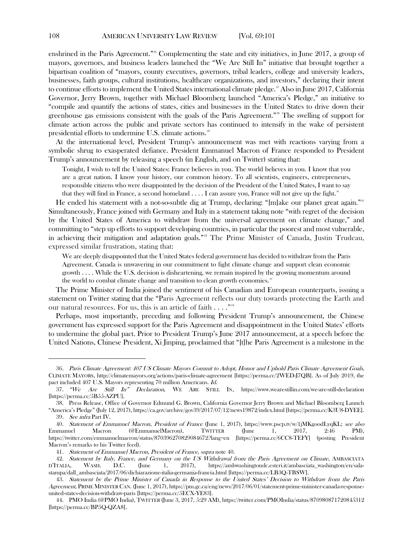enshrined in the Paris Agreement."<sup>[36](#page-6-6)</sup> Complementing the state and city initiatives, in June 2017, a group of mayors, governors, and business leaders launched the "We Are Still In" initiative that brought together a bipartisan coalition of "mayors, county executives, governors, tribal leaders, college and university leaders, businesses, faith groups, cultural institutions, healthcare organizations, and investors," declaring their intent to continue efforts to implement the United States international climate pledge.<sup>[37](#page-7-1)</sup> Also in June 2017, California Governor, Jerry Brown, together with Michael Bloomberg launched "America's Pledge," an initiative to "compile and quantify the actions of states, cities and businesses in the United States to drive down their greenhouse gas emissions consistent with the goals of the Paris Agreement."<sup>[38](#page-7-2)</sup> The swelling of support for climate action across the public and private sectors has continued to intensify in the wake of persistent presidential efforts to undermine U.S. climate actions.<sup>[39](#page-7-3)</sup>

At the international level, President Trump's announcement was met with reactions varying from a symbolic shrug to exasperated defiance. President Emmanuel Macron of France responded to President Trump's announcement by releasing a speech (in English, and on Twitter) stating that:

<span id="page-7-0"></span>Tonight, I wish to tell the United States: France believes in you. The world believes in you. I know that you are a great nation. I know your history, our common history. To all scientists, engineers, entrepreneurs, responsible citizens who were disappointed by the decision of the President of the United States, I want to say that they will find in France, a second homeland  $\dots$ . I can assure you, France will not give up the fight.<sup>[40](#page-7-4)</sup>

He ended his statement with a not-so-subtle dig at Trump, declaring: "[m]ake our planet great again."<sup>41</sup> Simultaneously, France joined with Germany and Italy in a statement taking note "with regret of the decision by the United States of America to withdraw from the universal agreement on climate change," and committing to "step up efforts to support developing countries, in particular the poorest and most vulnerable, in achieving their mitigation and adaptation goals."<sup>[42](#page-7-6)</sup> The Prime Minister of Canada, Justin Trudeau, expressed similar frustration, stating that:

We are deeply disappointed that the United States federal government has decided to withdraw from the Paris Agreement. Canada is unwavering in our commitment to fight climate change and support clean economic growth . . . . While the U.S. decision is disheartening, we remain inspired by the growing momentum around the world to combat climate change and transition to clean growth economies.<sup>[43](#page-7-7)</sup>

The Prime Minister of India joined the sentiment of his Canadian and European counterparts, issuing a statement on Twitter stating that the "Paris Agreement reflects our duty towards protecting the Earth and our natural resources. For us, this is an article of faith . . . . "<sup>[44](#page-7-8)</sup>

Perhaps, most importantly, preceding and following President Trump's announcement, the Chinese government has expressed support for the Paris Agreement and disappointment in the United States' efforts to undermine the global pact. Prior to President Trump's June 2017 announcement, at a speech before the United Nations, Chinese President, Xi Jinping, proclaimed that "[t]he Paris Agreement is a milestone in the

<sup>36</sup>. Paris Climate Agreement: 407 US Climate Mayors Commit to Adopt, Honor and Uphold Paris Climate Agreement Goals, CLIMATE MAYORS, http://climatemayors.org/actions/paris-climate-agreement [https://perma.cc/2WED-J7QB]. As of July 2019, the pact included 407 U.S. Mayors representing 70 million Americans. Id.

<span id="page-7-1"></span><sup>37. &</sup>quot;We Are Still In" Declaration, WE ARE STILL IN, https://www.wearestillin.com/we-are-still-declaration [https://perma.cc/5B55-AZPU].

<span id="page-7-2"></span><sup>38.</sup> Press Release, Office of Governor Edmund G. Brown, California Governor Jerry Brown and Michael Bloomberg Launch "America's Pledge" (July 12, 2017), https://ca.gov/archive/gov39/2017/07/12/news19872/index.html [https://perma.cc/K3U8-DYEE].

<sup>39</sup>. See infra Part IV.

<span id="page-7-4"></span><span id="page-7-3"></span><sup>40.</sup> Statement of Emmanuel Macron, President of France (June 1, 2017), https://www.pscp.tv/w/1jMKgoodLyqKL; see also Emmanuel Macron (@EmmanuelMacron), TWITTER (June 1, 2017, 2:46 PM), https://twitter.com/emmanuelmacron/status/870396270829084672?lang=en [https://perma.cc/6CC8-TEFY] (posting President Macron's remarks to his Twitter feed).

<sup>41.</sup> Statement of Emmanuel Macron, President of France, supra not[e 40.](#page-7-0)

<span id="page-7-6"></span><span id="page-7-5"></span><sup>42.</sup> Statement by Italy, France, and Germany on the US Withdrawal from the Paris Agreement on Climate, AMBASCIATA D'ITALIA, WASH. D.C. (June 1, 2017), https://ambwashingtondc.esteri.it/ambasciata\_washington/en/salastampa/dall\_ambasciata/2017/06/dichiarazione-italia-germania-francia.html [https://perma.cc/LB3Q-TBSW].

<span id="page-7-7"></span><sup>43.</sup> Statement by the Prime Minister of Canada in Response to the United States' Decision to Withdraw from the Paris Agreement, PRIME MINISTER CAN. (June 1, 2017), https://pm.gc.ca/eng/news/2017/06/01/statement-prime-minister-canada-responseunited-states-decision-withdraw-paris [https://perma.cc/5ECX-YE83].

<span id="page-7-8"></span><sup>44.</sup> PMO India (@PMO India), TWITTER (June 3, 2017, 5:29 AM), https://twitter.com/PMOIndia/status/870980871720845312 [https://perma.cc/BP5Q-QZA8].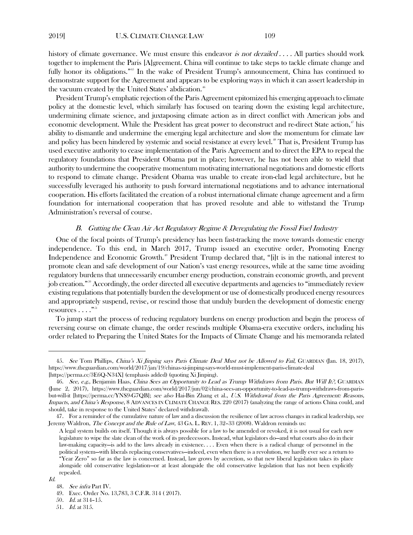history of climate governance. We must ensure this endeavor is not derailed  $\dots$ . All parties should work together to implement the Paris [A]greement. China will continue to take steps to tackle climate change and fully honor its obligations."<sup>[45](#page-8-0)</sup> In the wake of President Trump's announcement, China has continued to demonstrate support for the Agreement and appears to be exploring ways in which it can assert leadership in the vacuum created by the United States' abdication.<sup>[46](#page-8-1)</sup>

President Trump's emphatic rejection of the Paris Agreement epitomized his emerging approach to climate policy at the domestic level, which similarly has focused on tearing down the existing legal architecture, undermining climate science, and juxtaposing climate action as in direct conflict with American jobs and economic development. While the President has great power to deconstruct and re-direct State action,<sup>[47](#page-8-2)</sup> his ability to dismantle and undermine the emerging legal architecture and slow the momentum for climate law and policy has been hindered by systemic and social resistance at every level.<sup>[48](#page-8-3)</sup> That is, President Trump has used executive authority to cease implementation of the Paris Agreement and to direct the EPA to repeal the regulatory foundations that President Obama put in place; however, he has not been able to wield that authority to undermine the cooperative momentum motivating international negotiations and domestic efforts to respond to climate change. President Obama was unable to create iron-clad legal architecture, but he successfully leveraged his authority to push forward international negotiations and to advance international cooperation. His efforts facilitated the creation of a robust international climate change agreement and a firm foundation for international cooperation that has proved resolute and able to withstand the Trump Administration's reversal of course.

## B. Gutting the Clean Air Act Regulatory Regime & Deregulating the Fossil Fuel Industry

One of the focal points of Trump's presidency has been fast-tracking the move towards domestic energy independence. To this end, in March 2017, Trump issued an executive order, Promoting Energy Independence and Economic Growth. [49](#page-8-4) President Trump declared that, "[i]t is in the national interest to promote clean and safe development of our Nation's vast energy resources, while at the same time avoiding regulatory burdens that unnecessarily encumber energy production, constrain economic growth, and prevent job creation." [50](#page-8-5) Accordingly, the order directed all executive departments and agencies to "immediately review existing regulations that potentially burden the development or use of domestically produced energy resources and appropriately suspend, revise, or rescind those that unduly burden the development of domestic energy  $\mathop{\mathrm{resources}}\dots$  .  $\mathbb{C}^{51}$  $\mathbb{C}^{51}$  $\mathbb{C}^{51}$ 

To jump start the process of reducing regulatory burdens on energy production and begin the process of reversing course on climate change, the order rescinds multiple Obama-era executive orders, including his order related to Preparing the United States for the Impacts of Climate Change and his memoranda related

<span id="page-8-0"></span><sup>45.</sup> See Tom Phillips, China's Xi Jinping says Paris Climate Deal Must not be Allowed to Fail, GUARDIAN (Jan. 18, 2017), https://www.theguardian.com/world/2017/jan/19/chinas-xi-jinping-says-world-must-implement-paris-climate-deal [https://perma.cc/3E6Q-N34X] (emphasis added) (quoting Xi Jinping).

<span id="page-8-1"></span><sup>46.</sup> See, e.g., Benjamin Haas, China Sees an Opportunity to Lead as Trump Withdraws from Paris. But Will It?, GUARDIAN (June 2, 2017), https://www.theguardian.com/world/2017/jun/02/china-sees-an-opportunity-to-lead-as-trump-withdraws-from-parisbut-will-it [https://perma.cc/YNS9-G7QB]; see also Hai-Bin Zhang et al., U.S. Withdrawal from the Paris Agreement: Reasons, Impacts, and China's Response, 8 ADVANCES IN CLIMATE CHANGE RES. 220 (2017) (analyzing the range of actions China could, and should, take in response to the United States' declared withdrawal).

<span id="page-8-2"></span><sup>47.</sup> For a reminder of the cumulative nature of law and a discussion the resilience of law across changes in radical leadership, see Jeremy Waldron, The Concept and the Rule of Law, 43 GA. L. REV. 1, 32-33 (2008). Waldron reminds us:

A legal system builds on itself. Though it is always possible for a law to be amended or revoked, it is not usual for each new legislature to wipe the slate clean of the work of its predecessors. Instead, what legislators do—and what courts also do in their law-making capacity—is add to the laws already in existence. . . . Even when there is a radical change of personnel in the political system—with liberals replacing conservatives—indeed, even when there is a revolution, we hardly ever see a return to "Year Zero" so far as the law is concerned. Instead, law grows by accretion, so that new liberal legislation takes its place alongside old conservative legislation—or at least alongside the old conservative legislation that has not been explicitly repealed.

<span id="page-8-6"></span><span id="page-8-5"></span><span id="page-8-4"></span><span id="page-8-3"></span>Id.

<sup>48</sup>. See infra Part IV.

<sup>49.</sup> Exec. Order No. 13,783, 3 C.F.R. 314 ( 2017).

<sup>50</sup>. Id. at 314–15.

<sup>51.</sup> Id. at 315.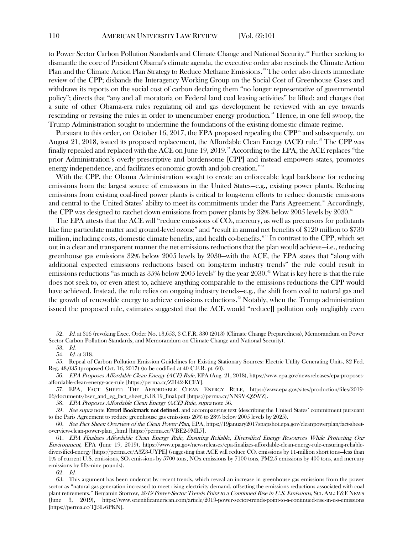to Power Sector Carbon Pollution Standards and Climate Change and National Security. [52](#page-9-1) Further seeking to dismantle the core of President Obama's climate agenda, the executive order also rescinds the Climate Action Plan and the Climate Action Plan Strategy to Reduce Methane Emissions. [53](#page-9-2) The order also directs immediate review of the CPP; disbands the Interagency Working Group on the Social Cost of Greenhouse Gases and withdraws its reports on the social cost of carbon declaring them "no longer representative of governmental policy"; directs that "any and all moratoria on Federal land coal leasing activities" be lifted; and charges that a suite of other Obama-era rules regulating oil and gas development be reviewed with an eye towards rescinding or revising the rules in order to unencumber energy production.<sup>[54](#page-9-3)</sup> Hence, in one fell swoop, the Trump Administration sought to undermine the foundations of the existing domestic climate regime.

<span id="page-9-0"></span>Pursuant to this order, on October 16, 2017, the EPA proposed repealing the CPP<sup>[55](#page-9-4)</sup> and subsequently, on August 21, 2018, issued its proposed replacement, the Affordable Clean Energy (ACE) rule.<sup>[56](#page-9-5)</sup> The CPP was finally repealed and replaced with the ACE on June 19, 2019.<sup>37</sup> According to the EPA, the ACE replaces "the prior Administration's overly prescriptive and burdensome [CPP] and instead empowers states, promotes energy independence, and facilitates economic growth and job creation."<sup>[58](#page-9-7)</sup>

With the CPP, the Obama Administration sought to create an enforceable legal backbone for reducing emissions from the largest source of emissions in the United States—e.g., existing power plants. Reducing emissions from existing coal-fired power plants is critical to long-term efforts to reduce domestic emissions and central to the United States' ability to meet its commitments under the Paris Agreement.<sup>[59](#page-9-8)</sup> Accordingly, the CPP was designed to ratchet down emissions from power plants by  $32\%$  below  $2005$  levels by  $2030$ .<sup>[60](#page-9-9)</sup>

The EPA attests that the ACE will "reduce emissions of CO<sub>2</sub>, mercury, as well as precursors for pollutants like fine particulate matter and ground-level ozone" and "result in annual net benefits of \$120 million to \$730 million, including costs, domestic climate benefits, and health co-benefits."[61](#page-9-10) In contrast to the CPP, which set out in a clear and transparent manner the net emissions reductions that the plan would achieve—i.e., reducing greenhouse gas emissions 32% below 2005 levels by 2030—with the ACE, the EPA states that "along with additional expected emissions reductions based on long-term industry trends" the rule could result in emissions reductions "as much as  $35\%$  below 2005 levels" by the year 2030. <sup> $\degree$ </sup> What is key here is that the rule does not seek to, or even attest to, achieve anything comparable to the emissions reductions the CPP would have achieved. Instead, the rule relies on ongoing industry trends—e.g., the shift from coal to natural gas and the growth of renewable energy to achieve emissions reductions.<sup>63</sup> Notably, when the Trump administration issued the proposed rule, estimates suggested that the ACE would "reduce[] pollution only negligibly even

62. Id.

<span id="page-9-2"></span><span id="page-9-1"></span><sup>52</sup>. Id. at 316 (revoking Exec. Order No. 13,653, 3 C.F.R. 330 (2013) (Climate Change Preparedness), Memorandum on Power Sector Carbon Pollution Standards, and Memorandum on Climate Change and National Security).

<sup>53.</sup> Id.

<sup>54.</sup>  $Id.$  at 318.

<span id="page-9-4"></span><span id="page-9-3"></span><sup>55.</sup> Repeal of Carbon Pollution Emission Guidelines for Existing Stationary Sources: Electric Utility Generating Units, 82 Fed. Reg. 48,035 (proposed Oct. 16, 2017) (to be codified at 40 C.F.R. pt. 60).

<span id="page-9-5"></span><sup>56.</sup> EPA Proposes Affordable Clean Energy (ACE) Rule, EPA (Aug. 21, 2018), https://www.epa.gov/newsreleases/epa-proposesaffordable-clean-energy-ace-rule [https://perma.cc/ZH42-KCEY].

<span id="page-9-6"></span><sup>57.</sup> EPA, FACT SHEET: THE AFFORDABLE CLEAN ENERGY RULE, https://www.epa.gov/sites/production/files/2019- 06/documents/bser\_and\_eg\_fact\_sheet\_6.18.19\_final.pdf [https://perma.cc/NN9V-Q2WZ].

<sup>58.</sup> EPA Proposes Affordable Clean Energy (ACE) Rule, supra not[e 56.](#page-9-0)

<span id="page-9-8"></span><span id="page-9-7"></span><sup>59.</sup> See supra note **Error! Bookmark not defined.** and accompanying text (describing the United States' commitment pursuant to the Paris Agreement to reduce greenhouse gas emissions 26% to 28% below 2005 levels by 2025).

<span id="page-9-9"></span><sup>60.</sup> See Fact Sheet: Overview of the Clean Power Plan, EPA, https://19january2017snapshot.epa.gov/cleanpowerplan/fact-sheetoverview-clean-power-plan\_.html [https://perma.cc/VBE2-9ML7].

<span id="page-9-10"></span><sup>61</sup>. EPA Finalizes Affordable Clean Energy Rule, Ensuring Reliable, Diversified Energy Resources While Protecting Our Environment, EPA (June 19, 2019), https://www.epa.gov/newsreleases/epa-finalizes-affordable-clean-energy-rule-ensuring-reliablediversified-energy [https://perma.cc/A3Z3-UYPE] (suggesting that ACE will reduce CO<sub>2</sub> emissions by 11-million short tons—less than 1% of current U.S. emissions, SO2 emissions by 5700 tons, NOx emissions by 7100 tons, PM2.5 emissions by 400 tons, and mercury emissions by fifty-nine pounds).

<span id="page-9-12"></span><span id="page-9-11"></span><sup>63.</sup> This argument has been undercut by recent trends, which reveal an increase in greenhouse gas emissions from the power sector as "natural gas generation increased to meet rising electricity demand, offsetting the emissions reductions associated with coal plant retirements." Benjamin Storrow, 2019 Power-Sector Trends Point to a Continued Rise in U.S. Emissions, SCI. AM.: F&E NEWS (June 3, 2019), https://www.scientificamerican.com/article/2019-power-sector-trends-point-to-a-continued-rise-in-u-s-emissions [https://perma.cc/TJ5L-6PKN].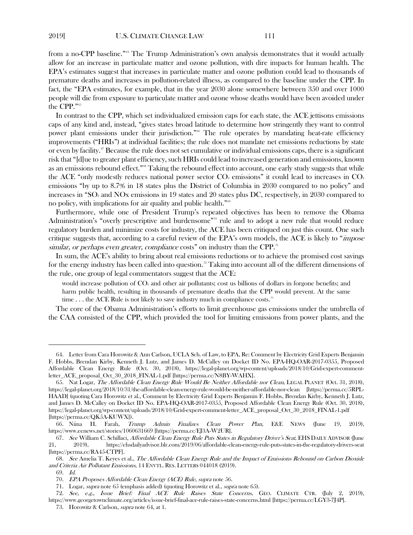<span id="page-10-1"></span>from a no-CPP baseline."<sup>[64](#page-10-2)</sup> The Trump Administration's own analysis demonstrates that it would actually allow for an increase in particulate matter and ozone pollution, with dire impacts for human health. The EPA's estimates suggest that increases in particulate matter and ozone pollution could lead to thousands of premature deaths and increases in pollution-related illness, as compared to the baseline under the CPP. In fact, the "EPA estimates, for example, that in the year 2030 alone somewhere between 350 and over 1000 people will die from exposure to particulate matter and ozone whose deaths would have been avoided under the CPP."<sup>[65](#page-10-3)</sup>

<span id="page-10-0"></span>In contrast to the CPP, which set individualized emission caps for each state, the ACE jettisons emissions caps of any kind and, instead, "gives states broad latitude to determine how stringently they want to control power plant emissions under their jurisdiction."<sup>[66](#page-10-4)</sup> The rule operates by mandating heat-rate efficiency improvements ("HRIs") at individual facilities; the rule does not mandate net emissions reductions by state or even by facility.[67](#page-10-5) Because the rule does not set cumulative or individual emissions caps, there is a significant risk that "[d]ue to greater plant efficiency, such HRIs could lead to increased generation and emissions, known as an emissions rebound effect."[68](#page-10-6) Taking the rebound effect into account, one early study suggests that while the ACE "only modestly reduces national power sector  $CO<sub>2</sub>$  emissions" it could lead to increases in  $CO<sub>2</sub>$ emissions "by up to 8.7% in 18 states plus the District of Columbia in 2030 compared to no policy" and increases in "SO<sub>2</sub> and NOx emissions in 19 states and 20 states plus DC, respectively, in 2030 compared to no policy, with implications for air quality and public health."<sup>[69](#page-10-7)</sup>

Furthermore, while one of President Trump's repeated objectives has been to remove the Obama Administration's "overly prescriptive and burdensome"<sup>[70](#page-10-8)</sup> rule and to adopt a new rule that would reduce regulatory burden and minimize costs for industry, the ACE has been critiqued on just this count. One such critique suggests that, according to a careful review of the EPA's own models, the ACE is likely to "*impose* similar, or perhaps even greater, compliance costs" on industry than the CPP.<sup>[71](#page-10-9)</sup>

In sum, the ACE's ability to bring about real emissions reductions or to achieve the promised cost savings for the energy industry has been called into question.<sup>[72](#page-10-10)</sup> Taking into account all of the different dimensions of the rule, one group of legal commentators suggest that the ACE:

would increase pollution of  $CO<sub>2</sub>$  and other air pollutants; cost us billions of dollars in forgone benefits; and harm public health, resulting in thousands of premature deaths that the CPP would prevent. At the same time . . . the ACE Rule is not likely to save industry much in compliance costs.<sup>[73](#page-10-11)</sup>

The core of the Obama Administration's efforts to limit greenhouse gas emissions under the umbrella of the CAA consisted of the CPP, which provided the tool for limiting emissions from power plants, and the

<span id="page-10-2"></span><sup>64.</sup> Letter from Cara Horowitz & Ann Carlson, UCLA Sch. of Law, to EPA, Re: Comment by Electricity Grid Experts Benjamin F. Hobbs, Brendan Kirby, Kenneth J. Lutz, and James D. McCalley on Docket ID No. EPA-HQ-OAR-2017-0355, Proposed Affordable Clean Energy Rule (Oct. 30, 2018), https://legal-planet.org/wp-content/uploads/2018/10/Grid-expert-commentletter\_ACE\_proposal\_Oct\_30\_2018\_FINAL-1.pdf [https://perma.cc/N8BY-WAHX].

<span id="page-10-3"></span><sup>65.</sup> Nat Logar, The Affordable Clean Energy Rule Would Be Neither Affordable nor Clean, LEGAL PLANET (Oct. 31, 2018), https://legal-planet.org/2018/10/31/the-affordable-clean-energy-rule-would-be-neither-affordable-nor-clean [https://perma.cc/5RPL-HAAD] (quoting Cara Horowitz et al., Comment by Electricity Grid Experts Benjamin F. Hobbs, Brendan Kirby, Kenneth J. Lutz, and James D. McCalley on Docket ID No. EPA-HQ-OAR-2017-0355, Proposed Affordable Clean Energy Rule (Oct. 30, 2018), https://legal-planet.org/wp-content/uploads/2018/10/Grid-expert-comment-letter\_ACE\_proposal\_Oct\_30\_2018\_FINAL-1.pdf [https://perma.cc/QK5A-KUWX]).

<span id="page-10-4"></span><sup>66.</sup> Niina H. Farah, Trump Admin Finalizes Clean Power Plan, E&E NEWS (June 19, 2019), https://www.eenews.net/stories/1060631669 [https://perma.cc/EJ3A-W2UR].

<span id="page-10-5"></span><sup>67.</sup> See William C. Schillaci, Affordable Clean Energy Rule Puts States in Regulatory Driver's Seat, EHS DAILY ADVISOR (June 21, 2019), https://ehsdailyadvisor.blr.com/2019/06/affordable-clean-energy-rule-puts-states-in-the-regulatory-drivers-seat [https://perma.cc/RA45-CTPF].

<span id="page-10-7"></span><span id="page-10-6"></span><sup>68.</sup> See Amelia T. Keyes et al., The Affordable Clean Energy Rule and the Impact of Emissions Rebound on Carbon Dioxide and Criteria Air Pollutant Emissions, 14 ENVTL. RES. LETTERS 044018 (2019).

<sup>69.</sup> Id.

<sup>70.</sup> EPA Proposes Affordable Clean Energy (ACE) Rule, supra not[e 56.](#page-9-0)

<sup>71.</sup> Logar, *supra* note [65](#page-10-0) (emphasis added) (quoting Horowitz et al., *supra* not[e 65\)](#page-10-0).

<span id="page-10-11"></span><span id="page-10-10"></span><span id="page-10-9"></span><span id="page-10-8"></span><sup>72.</sup> See, e.g., Issue Brief: Final ACE Rule Raises State Concerns, GEO. CLIMATE CTR. (July 2, 2019), https://www.georgetownclimate.org/articles/issue-brief-final-ace-rule-raises-state-concerns.html [https://perma.cc/LGY3-7J4P].

<sup>73.</sup> Horowitz & Carlson, supra note [64,](#page-10-1) at 1.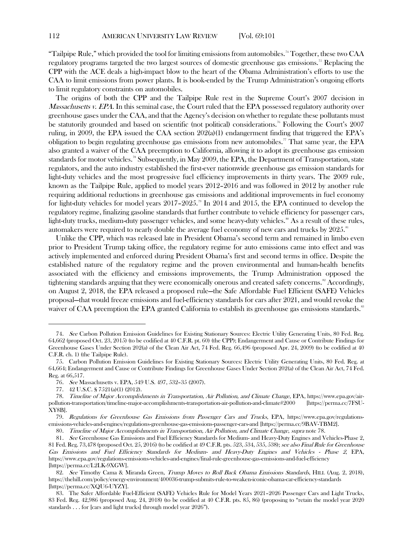"Tailpipe Rule," which provided the tool for limiting emissions from automobiles. [74](#page-11-1) Together, these two CAA regulatory programs targeted the two largest sources of domestic greenhouse gas emissions.<sup>[75](#page-11-2)</sup> Replacing the CPP with the ACE deals a high-impact blow to the heart of the Obama Administration's efforts to use the CAA to limit emissions from power plants. It is book-ended by the Trump Administration's ongoing efforts to limit regulatory constraints on automobiles.

<span id="page-11-0"></span>The origins of both the CPP and the Tailpipe Rule rest in the Supreme Court's 2007 decision in *Massachusetts v. EPA*. In this seminal case, the Court ruled that the EPA possessed regulatory authority over greenhouse gases under the CAA, and that the Agency's decision on whether to regulate these pollutants must be statutorily grounded and based on scientific (not political) considerations.[76](#page-11-3) Following the Court's 2007 ruling, in 2009, the EPA issued the CAA section  $202(a)(1)$  endangerment finding that triggered the EPA's obligation to begin regulating greenhouse gas emissions from new automobiles." That same year, the EPA also granted a waiver of the CAA preemption to California, allowing it to adopt its greenhouse gas emission standards for motor vehicles.<sup>[78](#page-11-5)</sup> Subsequently, in May 2009, the EPA, the Department of Transportation, state regulators, and the auto industry established the first-ever nationwide greenhouse gas emission standards for light-duty vehicles and the most progressive fuel efficiency improvements in thirty years. The 2009 rule, known as the Tailpipe Rule, applied to model years 2012–2016 and was followed in 2012 by another rule requiring additional reductions in greenhouse gas emissions and additional improvements in fuel economy for light-duty vehicles for model years  $2017-2025$ .<sup>[79](#page-11-6)</sup> In 2014 and 2015, the EPA continued to develop the regulatory regime, finalizing gasoline standards that further contribute to vehicle efficiency for passenger cars, light-duty trucks, medium-duty passenger vehicles, and some heavy-duty vehicles.<sup>[80](#page-11-7)</sup> As a result of these rules, automakers were required to nearly double the average fuel economy of new cars and trucks by  $2025.^{\rm {^{81} } }$  $2025.^{\rm {^{81} } }$  $2025.^{\rm {^{81} } }$ 

Unlike the CPP, which was released late in President Obama's second term and remained in limbo even prior to President Trump taking office, the regulatory regime for auto emissions came into effect and was actively implemented and enforced during President Obama's first and second terms in office. Despite the established nature of the regulatory regime and the proven environmental and human-health benefits associated with the efficiency and emissions improvements, the Trump Administration opposed the tightening standards arguing that they were economically onerous and created safety concerns.<sup>[82](#page-11-9)</sup> Accordingly, on August 2, 2018, the EPA released a proposed rule—the Safe Affordable Fuel Efficient (SAFE) Vehicles proposal—that would freeze emissions and fuel-efficiency standards for cars after 2021, and would revoke the waiver of CAA preemption the EPA granted California to establish its greenhouse gas emissions standards.<sup>83</sup>

<span id="page-11-1"></span><sup>74.</sup> See Carbon Pollution Emission Guidelines for Existing Stationary Sources: Electric Utility Generating Units, 80 Fed. Reg. 64,662 (proposed Oct. 23, 2015) (to be codified at 40 C.F.R. pt. 60) (the CPP); Endangerment and Cause or Contribute Findings for Greenhouse Gases Under Section 202(a) of the Clean Air Act, 74 Fed. Reg. 66,496 (proposed Apr. 24, 2009) (to be codified at 40 C.F.R. ch. 1) (the Tailpipe Rule).

<span id="page-11-2"></span><sup>75.</sup> Carbon Pollution Emission Guidelines for Existing Stationary Sources: Electric Utility Generating Units, 80 Fed. Reg. at 64,664; Endangerment and Cause or Contribute Findings for Greenhouse Gases Under Section 202(a) of the Clean Air Act, 74 Fed. Reg. at 66,517.

<sup>76</sup>. See Massachusetts v. EPA, 549 U.S. 497, 532–35 (2007).

<sup>77.</sup> 42 U.S.C. § 7521(a)(1) (2012).

<span id="page-11-5"></span><span id="page-11-4"></span><span id="page-11-3"></span><sup>78.</sup> Timeline of Major Accomplishments in Transportation, Air Pollution, and Climate Change, EPA, https://www.epa.gov/airpollution-transportation/timeline-major-accomplishments-transportation-air-pollution-and-climate#2000 [https://perma.cc/7FSU-XY8B].

<span id="page-11-6"></span><sup>79.</sup> Regulations for Greenhouse Gas Emissions from Passenger Cars and Trucks, EPA, https://www.epa.gov/regulationsemissions-vehicles-and-engines/regulations-greenhouse-gas-emissions-passenger-cars-and [https://perma.cc/9BAV-TBM2].

<sup>80</sup>. Timeline of Major Accomplishments in Transportation, Air Pollution, and Climate Change, supra not[e 78.](#page-11-0)

<span id="page-11-8"></span><span id="page-11-7"></span><sup>81.</sup> See Greenhouse Gas Emissions and Fuel Efficiency Standards for Medium- and Heavy-Duty Engines and Vehicles-Phase 2, 81 Fed. Reg. 73,478 (proposed Oct. 25, 2016) (to be codified at 49 C.F.R. pts. 523, 534, 535, 538); see also Final Rule for Greenhouse Gas Emissions and Fuel Efficiency Standards for Medium- and Heavy-Duty Engines and Vehicles - Phase 2, EPA, https://www.epa.gov/regulations-emissions-vehicles-and-engines/final-rule-greenhouse-gas-emissions-and-fuel-efficiency [https://perma.cc/L2LK-9XGW].

<span id="page-11-9"></span><sup>82.</sup> See Timothy Cama & Miranda Green, Trump Moves to Roll Back Obama Emissions Standards, HILL (Aug. 2, 2018), https://thehill.com/policy/energy-environment/400036-trump-submits-rule-to-weaken-iconic-obama-car-efficiency-standards [https://perma.cc/XQU6-UYZY].

<span id="page-11-10"></span><sup>83.</sup> The Safer Affordable Fuel-Efficient (SAFE) Vehicles Rule for Model Years 2021–2026 Passenger Cars and Light Trucks, 83 Fed. Reg. 42,986 (proposed Aug. 24, 2018) (to be codified at 40 C.F.R. pts. 85, 86) (proposing to "retain the model year 2020 standards . . . for [cars and light trucks] through model year 2026").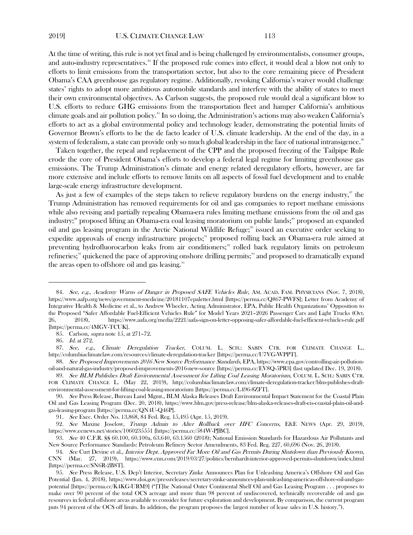At the time of writing, this rule is not yet final and is being challenged by environmentalists, consumer groups, and auto-industry representatives.<sup>[84](#page-12-0)</sup> If the proposed rule comes into effect, it would deal a blow not only to efforts to limit emissions from the transportation sector, but also to the core remaining piece of President Obama's CAA greenhouse gas regulatory regime. Additionally, revoking California's waiver would challenge states' rights to adopt more ambitious automobile standards and interfere with the ability of states to meet their own environmental objectives. As Carlson suggests, the proposed rule would deal a significant blow to U.S. efforts to reduce GHG emissions from the transportation fleet and hamper California's ambitious climate goals and air pollution policy.<sup>[85](#page-12-1)</sup> In so doing, the Administration's actions may also weaken California's efforts to act as a global environmental policy and technology leader, demonstrating the potential limits of Governor Brown's efforts to be the de facto leader of U.S. climate leadership. At the end of the day, in a system of federalism, a state can provide only so much global leadership in the face of national intransigence.<sup>86</sup>

Taken together, the repeal and replacement of the CPP and the proposed freezing of the Tailpipe Rule erode the core of President Obama's efforts to develop a federal legal regime for limiting greenhouse gas emissions. The Trump Administration's climate and energy related deregulatory efforts, however, are far more extensive and include efforts to remove limits on all aspects of fossil fuel development and to enable large-scale energy infrastructure development.

As just a few of examples of the steps taken to relieve regulatory burdens on the energy industry, [87](#page-12-3) the Trump Administration has removed requirements for oil and gas companies to report methane emissions while also revising and partially repealing Obama-era rules limiting methane emissions from the oil and gas industry;<sup>[88](#page-12-4)</sup> proposed lifting an Obama-era coal leasing moratorium on public lands;<sup>89</sup> proposed an expanded oil and gas leasing program in the Arctic National Wildlife Refuge;<sup>[90](#page-12-6)</sup> issued an executive order seeking to expedite approvals of energy infrastructure projects;<sup>[91](#page-12-7)</sup> proposed rolling back an Obama-era rule aimed at preventing hydrofluorocarbon leaks from air conditioners;<sup>[92](#page-12-8)</sup> rolled back regulatory limits on petroleum refineries;<sup>33</sup> quickened the pace of approving onshore drilling permits;<sup>[94](#page-12-10)</sup> and proposed to dramatically expand the areas open to offshore oil and gas leasing.<sup>[95](#page-12-11)</sup>

<span id="page-12-3"></span><span id="page-12-2"></span><span id="page-12-1"></span>87. See, e.g., Climate Deregulation Tracker, COLUM. L. SCH.: SABIN CTR. FOR CLIMATE CHANGE L., http://columbiaclimatelaw.com/resources/climate-deregulation-tracker [https://perma.cc/U7VG-WPPT].

<span id="page-12-4"></span>88. See Proposed Improvements 2016 New Source Performance Standards, EPA, https://www.epa.gov/controlling-air-pollutionoil-and-natural-gas-industry/proposed-improvements-2016-new-source [https://perma.cc/EV8Q-5PR3] (last updated Dec. 19, 2018).

<span id="page-12-0"></span><sup>84.</sup> See, e.g., Academy Warns of Danger in Proposed SAFE Vehicles Rule, AM. ACAD. FAM. PHYSICIANS (Nov. 7, 2018), https://www.aafp.org/news/government-medicine/20181107epaletter.html [https://perma.cc/Q867-PWFS]; Letter from Academy of Integrative Health & Medicine et al., to Andrew Wheeler, Acting Administrator, EPA, Public Health Organizations' Opposition to the Proposed "Safer Affordable Fuel-Efficient Vehicles Rule" for Model Years 2021–2026 Passenger Cars and Light Trucks (Oct. 26, 2018), https://www.aafa.org/media/2221/aafa-sign-on-letter-opposing-safer-affordable-fuel-efficient-vehicles-rule.pdf [https://perma.cc/4MGV-TCUK].

<sup>85.</sup> Carlson, supra note [15,](#page-3-4) at 271–72.

<sup>86.</sup> Id. at 272.

<span id="page-12-5"></span><sup>89.</sup> See BLM Publishes Draft Environmental Assessment for Lifting Coal Leasing Moratorium, COLUM. L. SCH.: SABIN CTR. FOR CLIMATE CHANGE L. (May 22, 2019), http://columbiaclimatelaw.com/climate-deregulation-tracker/blm-publishes-draftenvironmental-assessment-for-lifting-coal-leasing-moratorium [https://perma.cc/L496-8ZFT].

<span id="page-12-6"></span><sup>90.</sup> See Press Release, Bureau Land Mgmt., BLM Alaska Releases Draft Environmental Impact Statement for the Coastal Plain Oil and Gas Leasing Program (Dec. 20, 2018), https://www.blm.gov/press-release/blm-alaska-releases-draft-eis-coastal-plain-oil-andgas-leasing-program [https://perma.cc/QN4U-Q46P].

<sup>91.</sup> See Exec. Order No. 13,868, 84 Fed. Reg. 15,495 (Apr. 15, 2019).

<span id="page-12-8"></span><span id="page-12-7"></span><sup>92.</sup> See Maxine Joselow, Trump Admin to Alter Rollback over HFC Concerns, E&E NEWS (Apr. 29, 2019), https://www.eenews.net/stories/1060235551 [https://perma.cc/584W-PJBC].

<span id="page-12-9"></span><sup>93.</sup> See 40 C.F.R. §§ 60.100, 60.100a, 63.640, 63.1560 (2018); National Emission Standards for Hazardous Air Pollutants and New Source Performance Standards: Petroleum Refinery Sector Amendments, 83 Fed. Reg. 227, 60,696 (Nov. 26, 2018).

<span id="page-12-10"></span><sup>94.</sup> See Curt Devine et al., *Interior Dept. Approved Far More Oil and Gas Permits During Shutdown than Previously Known*, CNN (Mar. 27, 2019), https://www.cnn.com/2019/03/27/politics/bernhardt-interior-approved-permits-shutdown/index.html [https://perma.cc/SN6R-2B8T].

<span id="page-12-11"></span><sup>95.</sup> See Press Release, U.S. Dep't Interior, Secretary Zinke Announces Plan for Unleashing America's Offshore Oil and Gas Potential (Jan. 4, 2018), https://www.doi.gov/pressreleases/secretary-zinke-announces-plan-unleashing-americas-offshore-oil-and-gaspotential [https://perma.cc/K4KG-URM9] ("[T]he National Outer Continental Shelf Oil and Gas Leasing Program . . . proposes to make over 90 percent of the total OCS acreage and more than 98 percent of undiscovered, technically recoverable oil and gas resources in federal offshore areas available to consider for future exploration and development. By comparison, the current program puts 94 percent of the OCS off limits. In addition, the program proposes the largest number of lease sales in U.S. history.").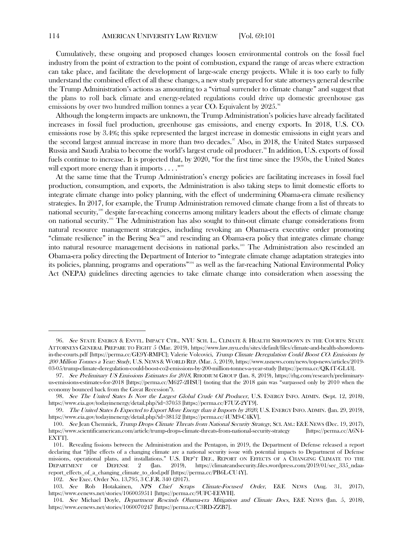Cumulatively, these ongoing and proposed changes loosen environmental controls on the fossil fuel industry from the point of extraction to the point of combustion, expand the range of areas where extraction can take place, and facilitate the development of large-scale energy projects. While it is too early to fully understand the combined effect of all these changes, a new study prepared for state attorneys general describe the Trump Administration's actions as amounting to a "virtual surrender to climate change" and suggest that the plans to roll back climate and energy-related regulations could drive up domestic greenhouse gas emissions by over two hundred million tonnes a year  $CO<sub>2</sub>$  Equivalent by 2025.<sup>[96](#page-13-0)</sup>

Although the long-term impacts are unknown, the Trump Administration's policies have already facilitated increases in fossil fuel production, greenhouse gas emissions, and energy exports. In 2018, U.S.  $CO<sub>2</sub>$ emissions rose by 3.4%; this spike represented the largest increase in domestic emissions in eight years and the second largest annual increase in more than two decades.<sup>[97](#page-13-1)</sup> Also, in 2018, the United States surpassed Russia and Saudi Arabia to become the world's largest crude oil producer.<sup>88</sup> In addition, U.S. exports of fossil fuels continue to increase. It is projected that, by 2020, "for the first time since the 1950s, the United States will export more energy than it imports  $\ldots$  ."  $^{\hspace{0.02cm}\mathsf{neg}}$ 

At the same time that the Trump Administration's energy policies are facilitating increases in fossil fuel production, consumption, and exports, the Administration is also taking steps to limit domestic efforts to integrate climate change into policy planning, with the effect of undermining Obama-era climate resiliency strategies. In 2017, for example, the Trump Administration removed climate change from a list of threats to national security,[100](#page-13-4) despite far-reaching concerns among military leaders about the effects of climate change on national security.<sup>[101](#page-13-5)</sup> The Administration has also sought to thin-out climate change considerations from natural resource management strategies, including revoking an Obama-era executive order promoting "climate resilience" in the Bering Sea<sup>102</sup> and rescinding an Obama-era policy that integrates climate change into natural resource management decisions in national parks.<sup>[103](#page-13-7)</sup> The Administration also rescinded an Obama-era policy directing the Department of Interior to "integrate climate change adaptation strategies into its policies, planning, programs and operations"[104](#page-13-8) as well as the far-reaching National Environmental Policy Act (NEPA) guidelines directing agencies to take climate change into consideration when assessing the

<span id="page-13-0"></span><sup>96.</sup> See STATE ENERGY & ENVTL. IMPACT CTR., NYU SCH. L., CLIMATE & HEALTH SHOWDOWN IN THE COURTS: STATE ATTORNEYS GENERAL PREPARE TO FIGHT 5 (Mar. 2019), https://www.law.nyu.edu/sites/default/files/climate-and-health-showdownin-the-courts.pdf [https://perma.cc/GE9Y-RMFC]; Valerie Volcovici, Trump Climate Deregulation Could Boost CO<sub>2</sub> Emissions by 200 Million Tonnes a Year: Study, U.S. NEWS & WORLD REP. (Mar. 5, 2019), https://www.usnews.com/news/top-news/articles/2019- 03-05/trump-climate-deregulation-could-boost-co2-emissions-by-200-million-tonnes-a-year-study [https://perma.cc/QK4T-GL43].

<span id="page-13-1"></span><sup>97.</sup> See Preliminary US Emissions Estimates for 2018, RHODIUM GROUP (Jan. 8, 2019), https://rhg.com/research/preliminaryus-emissions-estimates-for-2018 [https://perma.cc/M627-2HSU] (noting that the 2018 gain was "surpassed only by 2010 when the economy bounced back from the Great Recession").

<span id="page-13-2"></span><sup>98.</sup> See The United States Is Now the Largest Global Crude Oil Producer, U.S. ENERGY INFO. ADMIN. (Sept. 12, 2018), https://www.eia.gov/todayinenergy/detail.php?id=37053 [https://perma.cc/F7UZ-2YT9].

<span id="page-13-3"></span><sup>99.</sup> The United States Is Expected to Export More Energy than it Imports by 2020, U.S. ENERGY INFO. ADMIN. (Jan. 29, 2019), https://www.eia.gov/todayinenergy/detail.php?id=38152 [https://perma.cc/4UM9-C4KV].

<span id="page-13-4"></span><sup>100.</sup> See Jean Chemnick, Trump Drops Climate Threats from National Security Strategy, SCI. AM.: E&E NEWS (Dec. 19, 2017), https://www.scientificamerican.com/article/trump-drops-climate-threats-from-national-security-strategy [https://perma.cc/A6N4- EXTT].

<span id="page-13-5"></span><sup>101.</sup> Revealing fissions between the Administration and the Pentagon, in 2019, the Department of Defense released a report declaring that "[t]he effects of a changing climate are a national security issue with potential impacts to Department of Defense missions, operational plans, and installations." U.S. DEP'T DEF., REPORT ON EFFECTS OF A CHANGING CLIMATE TO THE DEPARTMENT OF DEFENSE 2 (Jan. 2019), https://climateandsecurity.files.wordpress.com/2019/01/sec\_335\_ndaareport\_effects\_of\_a\_changing\_climate\_to\_dod.pdf [https://perma.cc/PB6L-CU4Y].

<sup>102.</sup> See Exec. Order No. 13,795, 3 C.F.R. 340 (2017).

<span id="page-13-7"></span><span id="page-13-6"></span><sup>103.</sup> See Rob Hotakainen, NPS Chief Scraps Climate-Focused Order, E&E NEWS (Aug. 31, 2017), https://www.eenews.net/stories/1060059511 [https://perma.cc/9UFC-EEWH].

<span id="page-13-8"></span><sup>104.</sup> See Michael Doyle, Department Rescinds Obama-era Mitigation and Climate Docs, E&E NEWS (Jan. 5, 2018), https://www.eenews.net/stories/1060070247 [https://perma.cc/C3RD-ZZB7].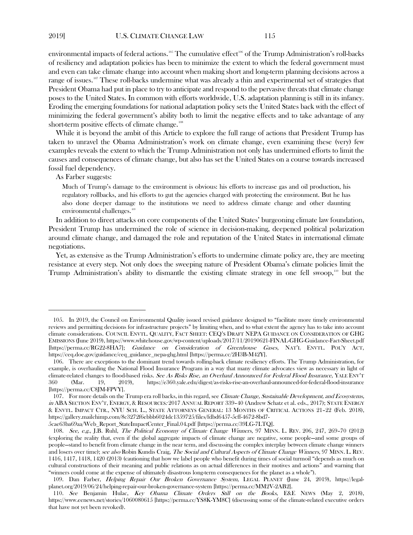environmental impacts of federal actions.<sup>[105](#page-14-0)</sup> The cumulative effect<sup>[106](#page-14-1)</sup> of the Trump Administration's roll-backs of resiliency and adaptation policies has been to minimize the extent to which the federal government must and even can take climate change into account when making short and long-term planning decisions across a range of issues.<sup>107</sup> These roll-backs undermine what was already a thin and experimental set of strategies that President Obama had put in place to try to anticipate and respond to the pervasive threats that climate change poses to the United States. In common with efforts worldwide, U.S. adaptation planning is still in its infancy. Eroding the emerging foundations for national adaptation policy sets the United States back with the effect of minimizing the federal government's ability both to limit the negative effects and to take advantage of any short-term positive effects of climate change.<sup>[108](#page-14-3)</sup>

While it is beyond the ambit of this Article to explore the full range of actions that President Trump has taken to unravel the Obama Administration's work on climate change, even examining these (very) few examples reveals the extent to which the Trump Administration not only has undermined efforts to limit the causes and consequences of climate change, but also has set the United States on a course towards increased fossil fuel dependency.

As Farber suggests:

Much of Trump's damage to the environment is obvious: his efforts to increase gas and oil production, his regulatory rollbacks, and his efforts to gut the agencies charged with protecting the environment. But he has also done deeper damage to the institutions we need to address climate change and other daunting environmental challenges.<sup>[109](#page-14-4)</sup>

In addition to direct attacks on core components of the United States' burgeoning climate law foundation, President Trump has undermined the role of science in decision-making, deepened political polarization around climate change, and damaged the role and reputation of the United States in international climate negotiations.

Yet, as extensive as the Trump Administration's efforts to undermine climate policy are, they are meeting resistance at every step. Not only does the sweeping nature of President Obama's climate policies limit the Trump Administration's ability to dismantle the existing climate strategy in one fell swoop,<sup>[110](#page-14-5)</sup> but the

5cae63ba69aa/Web\_Report\_StateImpactCenter\_Final.04.pdf [https://perma.cc/39LG-7LTQ].

<span id="page-14-0"></span><sup>105.</sup> In 2019, the Council on Environmental Quality issued revised guidance designed to "facilitate more timely environmental reviews and permitting decisions for infrastructure projects" by limiting when, and to what extent the agency has to take into account climate considerations. COUNCIL ENVTL. QUALITY, FACT SHEET: CEQ'S DRAFT NEPA GUIDANCE ON CONSIDERATION OF GHG EMISSIONS (June 2019), https://www.whitehouse.gov/wp-content/uploads/2017/11/20190621-FINAL-GHG-Guidance-Fact-Sheet.pdf [https://perma.cc/RG22-8HA7]; Guidance on Consideration of Greenhouse Gases, NAT'L ENVTL. POL'Y ACT, https://ceq.doe.gov/guidance/ceq\_guidance\_nepa-ghg.html [https://perma.cc/2H3B-M42Y].

<span id="page-14-1"></span><sup>106.</sup> There are exceptions to the dominant trend towards rolling-back climate resiliency efforts. The Trump Administration, for example, is overhauling the National Flood Insurance Program in a way that many climate advocates view as necessary in light of climate-related changes to flood-based risks. See As Risks Rise, an Overhaul Announced for Federal Flood Insurance, YALE ENV'T 360 (Mar. 19, 2019), https://e360.yale.edu/digest/as-risks-rise-an-overhaul-announced-for-federal-flood-insurance [https://perma.cc/C8JM-FPVY].

<span id="page-14-2"></span><sup>107.</sup> For more details on the Trump era roll backs, in this regard, see *Climate Change, Sustainable Development, and Ecosystems*, in ABA SECTION ENV'T, ENERGY, & RESOURCES: 2017 ANNUAL REPORT 339–40 (Andrew Schatz et al. eds., 2017); STATE ENERGY & ENVTL. IMPACT CTR., NYU SCH. L., STATE ATTORNEYS GENERAL: 13 MONTHS OF CRITICAL ACTIONS 21–22 (Feb. 2018), https://gallery.mailchimp.com/8c3272f6ebbb6024dc1359725/files/fdbd6457-5cff-4672-8bd7-

<span id="page-14-3"></span><sup>108.</sup> See, e.g., J.B. Ruhl, The Political Economy of Climate Change Winners, 97 MINN. L. REV. 206, 247, 269–70 (2012) (exploring the reality that, even if the global aggregate impacts of climate change are negative, some people—and some groups of people—stand to benefit from climate change in the near term, and discussing the complex interplay between climate change winners and losers over time); see also Robin Kundis Craig, The Social and Cultural Aspects of Climate Change Winners, 97 MINN. L. REV. 1416, 1417, 1418, 1420 (2013) (cautioning that how we label people who benefit during times of social turmoil "depends as much on cultural constructions of their meaning and public relations as on actual differences in their motives and actions" and warning that "winners could come at the expense of ultimately disastrous long-term consequences for the planet as a whole").

<span id="page-14-4"></span><sup>109.</sup> Dan Farber, Helping Repair Our Broken Governance System, LEGAL PLANET (June 24, 2019), https://legalplanet.org/2019/06/24/helping-repair-our-broken-governance-system [https://perma.cc/MM2V-2AB2].

<span id="page-14-5"></span><sup>110.</sup> See Benjamin Hulac, Key Obama Climate Orders Still on the Books, E&E NEWS (May 2, 2018), https://www.eenews.net/stories/1060080615 [https://perma.cc/YS8K-YM8C] (discussing some of the climate-related executive orders that have not yet been revoked).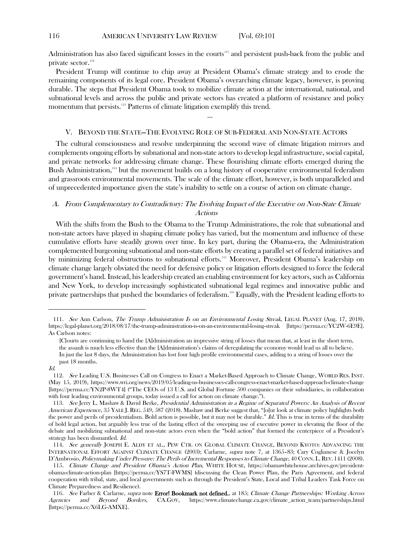Administration has also faced significant losses in the courts<sup>[111](#page-15-0)</sup> and persistent push-back from the public and private sector.<sup>[112](#page-15-1)</sup>

President Trump will continue to chip away at President Obama's climate strategy and to erode the remaining components of its legal core. President Obama's overarching climate legacy, however, is proving durable. The steps that President Obama took to mobilize climate action at the international, national, and subnational levels and across the public and private sectors has created a platform of resistance and policy momentum that persists.<sup>[113](#page-15-2)</sup> Patterns of climate litigation exemplify this trend.

#### V. BEYOND THE STATE—THE EVOLVING ROLE OF SUB-FEDERAL AND NON-STATE ACTORS

…

The cultural consciousness and resolve underpinning the second wave of climate litigation mirrors and complements ongoing efforts by subnational and non-state actors to develop legal infrastructure, social capital, and private networks for addressing climate change. These flourishing climate efforts emerged during the Bush Administration,<sup>[114](#page-15-3)</sup> but the movement builds on a long history of cooperative environmental federalism and grassroots environmental movements. The scale of the climate effort, however, is both unparalleled and of unprecedented importance given the state's inability to settle on a course of action on climate change.

# A. From Complementary to Contradictory: The Evolving Impact of the Executive on Non-State Climate Actions

With the shifts from the Bush to the Obama to the Trump Administrations, the role that subnational and non-state actors have played in shaping climate policy has varied, but the momentum and influence of these cumulative efforts have steadily grown over time. In key part, during the Obama-era, the Administration complemented burgeoning subnational and non-state efforts by creating a parallel set of federal initiatives and by minimizing federal obstructions to subnational efforts.<sup>[115](#page-15-4)</sup> Moreover, President Obama's leadership on climate change largely obviated the need for defensive policy or litigation efforts designed to force the federal government's hand. Instead, his leadership created an enabling environment for key actors, such as California and New York, to develop increasingly sophisticated subnational legal regimes and innovative public and private partnerships that pushed the boundaries of federalism.[116](#page-15-5) Equally, with the President leading efforts to

<span id="page-15-0"></span><sup>111.</sup> See Ann Carlson, The Trump Administration Is on an Environmental Losing Streak, LEGAL PLANET (Aug. 17, 2018), https://legal-planet.org/2018/08/17/the-trump-administration-is-on-an-environmental-losing-streak [https://perma.cc/YC2W-6E9E]. As Carlson notes:

<sup>[</sup>C]ourts are continuing to hand the [A]dministration an impressive string of losses that mean that, at least in the short term, the assault is much less effective than the [A]dministration's claims of deregulating the economy would lead us all to believe. In just the last 8 days, the Administration has lost four high profile environmental cases, adding to a string of losses over the past 18 months.

Id.

<span id="page-15-1"></span><sup>112</sup>. See Leading U.S. Businesses Call on Congress to Enact a Market-Based Approach to Climate Change, WORLD RES. INST. (May 15, 2019), https://www.wri.org/news/2019/05/leading-us-businesses-call-congress-enact-market-based-approach-climate-change [https://perma.cc/YN2P-8WT4] ("The CEOs of 13 U.S. and Global Fortune 500 companies or their subsidiaries, in collaboration with four leading environmental groups, today issued a call for action on climate change.").

<span id="page-15-2"></span><sup>113.</sup> See Jerry L. Mashaw & David Berke, Presidential Administration in <sup>a</sup> Regime of Separated Powers: An Analysis of Recent American Experience, 35 YALE J. REG. 549, 587 (2018). Mashaw and Berke suggest that, "[o]ur look at climate policy highlights both the power and perils of presidentialism. Bold action is possible, but it may not be durable."  $Id$ . This is true in terms of the durability of bold legal action, but arguably less true of the lasting effect of the sweeping use of executive power in elevating the floor of the debate and mobilizing subnational and non-state actors even when the "bold action" that formed the centerpiece of a President's strategy has been dismantled. Id.

<span id="page-15-3"></span><sup>114.</sup> See generally JOSEPH E. ALDY ET AL., PEW CTR. ON GLOBAL CLIMATE CHANGE, BEYOND KYOTO: ADVANCING THE INTERNATIONAL EFFORT AGAINST CLIMATE CHANGE (2003); Carlarne, supra note [7,](#page-2-6) at 1365–83; Cary Coglianese & Jocelyn D'Ambrosio, Policymaking Under Pressure: The Perils of Incremental Responses to Climate Change, 40 CONN. L. REV. 1411 (2008).

<span id="page-15-4"></span><sup>115</sup>. Climate Change and President Obama's Action Plan, WHITE HOUSE, https://obamawhitehouse.archives.gov/presidentobama-climate-action-plan [https://perma.cc/YS7T-FWMS] (discussing the Clean Power Plan, the Paris Agreement, and federal cooperation with tribal, state, and local governments such as through the President's State, Local and Tribal Leaders Task Force on Climate Preparedness and Resilience).

<span id="page-15-5"></span><sup>116.</sup> See Farber & Carlarne, supra note Error! Bookmark not defined., at 185; Climate Change Partnerships: Working Across Agencies and Beyond Borders, CA.GOV, https://www.climatechange.ca.gov/climate\_action\_team/partnerships.html [https://perma.cc/X6LG-AMXE].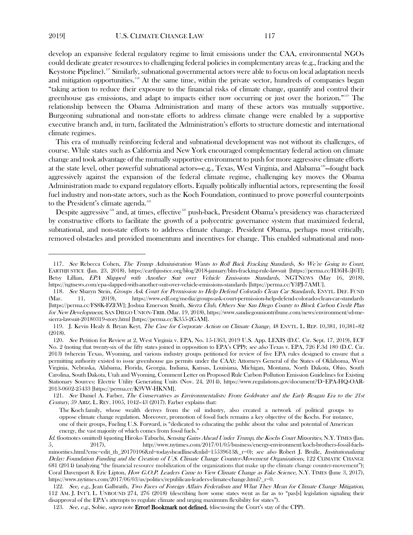develop an expansive federal regulatory regime to limit emissions under the CAA, environmental NGOs could dedicate greater resources to challenging federal policies in complementary areas (e.g., fracking and the Keystone Pipeline).<sup>[117](#page-16-0)</sup> Similarly, subnational governmental actors were able to focus on local adaptation needs and mitigation opportunities.<sup>[118](#page-16-1)</sup> At the same time, within the private sector, hundreds of companies began "taking action to reduce their exposure to the financial risks of climate change, quantify and control their greenhouse gas emissions, and adapt to impacts either now occurring or just over the horizon.["119](#page-16-2) The relationship between the Obama Administration and many of these actors was mutually supportive. Burgeoning subnational and non-state efforts to address climate change were enabled by a supportive executive branch and, in turn, facilitated the Administration's efforts to structure domestic and international climate regimes.

This era of mutually reinforcing federal and subnational development was not without its challenges, of course. While states such as California and New York encouraged complementary federal action on climate change and took advantage of the mutually supportive environment to push for more aggressive climate efforts at the state level, other powerful subnational actors—e.g., Texas, West Virginia, and Alabama<sup>[120](#page-16-3)</sup>—fought back aggressively against the expansion of the federal climate regime, challenging key moves the Obama Administration made to expand regulatory efforts. Equally politically influential actors, representing the fossil fuel industry and non-state actors, such as the Koch Foundation, continued to prove powerful counterpoints to the President's climate agenda.<sup>121</sup>

<span id="page-16-7"></span>Despite aggressive<sup>[122](#page-16-5)</sup> and, at times, effective<sup>[123](#page-16-6)</sup> push-back, President Obama's presidency was characterized by constructive efforts to facilitate the growth of a polycentric governance system that maximized federal, subnational, and non-state efforts to address climate change. President Obama, perhaps most critically, removed obstacles and provided momentum and incentives for change. This enabled subnational and non-

<span id="page-16-6"></span>123. See, e.g., Sobie, supra note Error! Bookmark not defined. (discussing the Court's stay of the CPP).

<span id="page-16-0"></span><sup>117</sup>. See Rebecca Cohen, The Trump Administration Wants to Roll Back Fracking Standards, So We're Going to Court, EARTHJUSTICE (Jan. 23, 2018), https://earthjustice.org/blog/2018-january/blm-fracking-rule-lawsuit [https://perma.cc/H36H-5J6T]; Betsy Lillian, EPA Slapped with Another Suit over Vehicle Emissions Standards, NGTNEWS (May 16, 2018), https://ngtnews.com/epa-slapped-with-another-suit-over-vehicle-emissions-standards [https://perma.cc/Y3PJ-7AMU].

<span id="page-16-1"></span><sup>118</sup>. See Sharyn Stein, Groups Ask Court for Permission to Help Defend Colorado Clean Car Standards, ENVTL. DEF. FUND (Mar. 11, 2019), https://www.edf.org/media/groups-ask-court-permission-help-defend-colorado-clean-car-standards [https://perma.cc/FS8K-FZEW]; Joshua Emerson Smith, Sierra Club, Others Sue San Diego County to Block Carbon Credit Plan for New Development, SAN DIEGO UNION-TRIB. (Mar. 19, 2018), https://www.sandiegouniontribune.com/news/environment/sd-mesierra-lawsuit-20180319-story.html [https://perma.cc/K355-2GAM].

<span id="page-16-2"></span><sup>119.</sup> J. Kevin Healy & Bryan Keyt, The Case for Corporate Action on Climate Change, 48 ENVTL. L. REP. 10,381, 10,381–82 (2018).

<span id="page-16-3"></span><sup>120.</sup> See Petition for Review at 2, West Virginia v. EPA, No. 15-1363, 2019 U.S. App. LEXIS (D.C. Cir. Sept. 17, 2019), ECF No. 2 (noting that twenty-six of the fifty states joined in opposition to EPA's CPP); see also Texas v. EPA, 726 F.3d 180 (D.C. Cir. 2013) (wherein Texas, Wyoming, and various industry groups petitioned for review of five EPA rules designed to ensure that a permitting authority existed to issue greenhouse gas permits under the CAA); Attorneys General of the States of Oklahoma, West Virginia, Nebraska, Alabama, Florida, Georgia, Indiana, Kansas, Louisiana, Michigan, Montana, North Dakota, Ohio, South Carolina, South Dakota, Utah and Wyoming, Comment Letter on Proposed Rule Carbon Pollution Emission Guidelines for Existing Stationary Sources: Electric Utility Generating Units (Nov. 24, 2014), https://www.regulations.gov/document?D=EPA-HQ-OAR-2013-0602-25433 [https://perma.cc/K9VW-HKNM].

<span id="page-16-4"></span><sup>121.</sup> See Daniel A. Farber, The Conservatives as Environmentalists: From Goldwater and the Early Reagan Era to the 21st Century, 59 ARIZ. L. REV. 1005, 1042–43 (2017). Farber explains that:

The Koch family, whose wealth derives from the oil industry, also created a network of political groups to oppose climate change regulation. Moreover, promotion of fossil fuels remains a key objective of the Kochs. For instance, one of their groups, Fueling U.S. Forward, is "dedicated to educating the public about the value and potential of American energy, the vast majority of which comes from fossil fuels."

Id. (footnotes omitted) (quoting Hiroko Tabuchi, Sensing Gains Ahead Under Trump, the Kochs Court Minorities, N.Y. TIMES (Jan. 5, 2017), http://www.nytimes.com/2017/01/05/business/energy-environment/koch-brothers-fossil-fuelsminorities.html?emc=edit\_th\_20170106&nl=todaysheadlines&nlid=15539613&\_r=0); see also Robert J. Brulle, Institutionalizing Delay: Foundation Funding and the Creation of U.S. Climate Change Counter-Movement Organizations, 122 CLIMATIC CHANGE 681 (2014) (analyzing "the financial resource mobilization of the organizations that make up the climate change counter-movement"); Coral Davenport & Eric Lipton, How G.O.P. Leaders Came to View Climate Change as Fake Science, N.Y. TIMES (June 3, 2017), https://www.nytimes.com/2017/06/03/us/politics/republican-leaders-climate-change.html?\_r=0.

<span id="page-16-5"></span><sup>122.</sup> See, e.g., Jean Galbraith, Two Faces of Foreign Affairs Federalism and What They Mean for Climate Change Mitigation, 112 AM. J. INT'L L. UNBOUND 274, 276 (2018) (describing how some states went as far as to "pas[s] legislation signaling their disapproval of the EPA's attempts to regulate climate and urging maximum flexibility for states").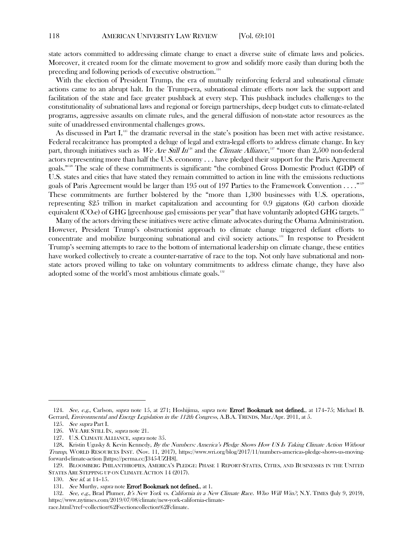state actors committed to addressing climate change to enact a diverse suite of climate laws and policies. Moreover, it created room for the climate movement to grow and solidify more easily than during both the preceding and following periods of executive obstruction. [124](#page-17-0)

With the election of President Trump, the era of mutually reinforcing federal and subnational climate actions came to an abrupt halt. In the Trump-era, subnational climate efforts now lack the support and facilitation of the state and face greater pushback at every step. This pushback includes challenges to the constitutionality of subnational laws and regional or foreign partnerships, deep budget cuts to climate-related programs, aggressive assaults on climate rules, and the general diffusion of non-state actor resources as the suite of unaddressed environmental challenges grows.

As discussed in Part  $I<sub>1</sub><sup>125</sup>$  $I<sub>1</sub><sup>125</sup>$  $I<sub>1</sub><sup>125</sup>$  the dramatic reversal in the state's position has been met with active resistance. Federal recalcitrance has prompted a deluge of legal and extra-legal efforts to address climate change. In key part, through initiatives such as  $\it We Are Still In^{\hbox{\tiny{126}}}$  $\it We Are Still In^{\hbox{\tiny{126}}}$  $\it We Are Still In^{\hbox{\tiny{126}}}$  and the *Climate Alliance*,<sup>[127](#page-17-3)</sup> "more than 2,500 non-federal actors representing more than half the U.S. economy . . . have pledged their support for the Paris Agreement goals." [128](#page-17-4) The scale of these commitments is significant: "the combined Gross Domestic Product (GDP) of U.S. states and cities that have stated they remain committed to action in line with the emissions reductions goals of Paris Agreement would be larger than 195 out of 197 Parties to the Framework Convention  $\ldots$  ." $^{129}$  $^{129}$  $^{129}$ These commitments are further bolstered by the "more than 1,300 businesses with U.S. operations, representing \$25 trillion in market capitalization and accounting for 0.9 gigatons (Gt) carbon dioxide equivalent  $(CO<sub>2</sub>e)$  of GHG [greenhouse gas] emissions per year" that have voluntarily adopted GHG targets.<sup>[130](#page-17-6)</sup>

Many of the actors driving these initiatives were active climate advocates during the Obama Administration. However, President Trump's obstructionist approach to climate change triggered defiant efforts to concentrate and mobilize burgeoning subnational and civil society actions.<sup>[131](#page-17-7)</sup> In response to President Trump's seeming attempts to race to the bottom of international leadership on climate change, these entities have worked collectively to create a counter-narrative of race to the top. Not only have subnational and nonstate actors proved willing to take on voluntary commitments to address climate change, they have also adopted some of the world's most ambitious climate goals.<sup>[132](#page-17-8)</sup>

<span id="page-17-1"></span><span id="page-17-0"></span><sup>124.</sup> See, e.g., Carlson, *supra* note [15,](#page-3-4) at 271; Hoshijima, *supra* note **Error! Bookmark not defined.**, at 174–75; Michael B. Gerrard, Environmental and Energy Legislation in the 112th Congress, A.B.A. TRENDS, Mar./Apr. 2011, at 5.

<sup>125.</sup> See supra Part I.

<sup>126.</sup> WE ARE STILL IN, supra not[e 21.](#page-4-7)

<sup>127.</sup> U.S. CLIMATE ALLIANCE, *supra* note [35.](#page-6-7)

<span id="page-17-4"></span><span id="page-17-3"></span><span id="page-17-2"></span><sup>128.</sup> Kristin Ugusky & Kevin Kennedy, By the Numbers: America's Pledge Shows How US Is Taking Climate Action Without Trump, WORLD RESOURCES INST. (Nov. 11, 2017), https://www.wri.org/blog/2017/11/numbers-americas-pledge-shows-us-movingforward-climate-action [https://perma.cc/J345-UZH8].

<span id="page-17-6"></span><span id="page-17-5"></span><sup>129.</sup> BLOOMBERG PHILANTHROPIES, AMERICA'S PLEDGE: PHASE 1 REPORT-STATES, CITIES, AND BUSINESSES IN THE UNITED STATES ARE STEPPING UP ON CLIMATE ACTION 14 (2017).

<sup>130.</sup> See id. at 14-15.

<sup>131.</sup> See Murthy, supra note Error! Bookmark not defined., at 1.

<span id="page-17-8"></span><span id="page-17-7"></span><sup>132.</sup> See, e.g., Brad Plumer, It's New York vs. California in a New Climate Race. Who Will Win?, N.Y. TIMES (July 9, 2019), https://www.nytimes.com/2019/07/08/climate/new-york-california-climate-

race.html?rref=collection%2Fsectioncollection%2Fclimate.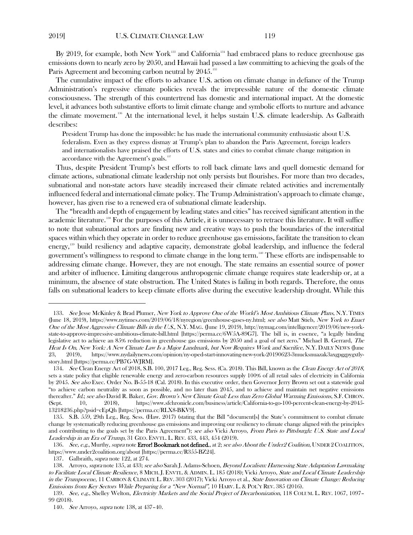<span id="page-18-10"></span><span id="page-18-0"></span>

By 2019, for example, both New York<sup>[133](#page-18-2)</sup> and California<sup>[134](#page-18-3)</sup> had embraced plans to reduce greenhouse gas emissions down to nearly zero by 2050, and Hawaii had passed a law committing to achieving the goals of the Paris Agreement and becoming carbon neutral by 2045.<sup>[135](#page-18-4)</sup>

The cumulative impact of the efforts to advance U.S. action on climate change in defiance of the Trump Administration's regressive climate policies reveals the irrepressible nature of the domestic climate consciousness. The strength of this countertrend has domestic and international impact. At the domestic level, it advances both substantive efforts to limit climate change and symbolic efforts to nurture and advance the climate movement.<sup>136</sup> At the international level, it helps sustain U.S. climate leadership. As Galbraith describes:

President Trump has done the impossible: he has made the international community enthusiastic about U.S. federalism. Even as they express dismay at Trump's plan to abandon the Paris Agreement, foreign leaders and internationalists have praised the efforts of U.S. states and cities to combat climate change mitigation in accordance with the Agreement's goals.<sup>[137](#page-18-6)</sup>

Thus, despite President Trump's best efforts to roll back climate laws and quell domestic demand for climate actions, subnational climate leadership not only persists but flourishes. For more than two decades, subnational and non-state actors have steadily increased their climate related activities and incrementally influenced federal and international climate policy. The Trump Administration's approach to climate change, however, has given rise to a renewed era of subnational climate leadership.

<span id="page-18-1"></span>The "breadth and depth of engagement by leading states and cities" has received significant attention in the academic literature.<sup>[138](#page-18-7)</sup> For the purposes of this Article, it is unnecessary to retrace this literature. It will suffice to note that subnational actors are finding new and creative ways to push the boundaries of the interstitial spaces within which they operate in order to reduce greenhouse gas emissions, facilitate the transition to clean energy,[139](#page-18-8) build resiliency and adaptive capacity, demonstrate global leadership, and influence the federal government's willingness to respond to climate change in the long term.[140](#page-18-9) These efforts are indispensable to addressing climate change. However, they are not enough. The state remains an essential source of power and arbiter of influence. Limiting dangerous anthropogenic climate change requires state leadership or, at a minimum, the absence of state obstruction. The United States is failing in both regards. Therefore, the onus falls on subnational leaders to keep climate efforts alive during the executive leadership drought. While this

<span id="page-18-2"></span><sup>133.</sup> See Jesse McKinley & Brad Plumer, New York to Approve One of the World's Most Ambitious Climate Plans, N.Y. TIMES (June 18, 2019), https://www.nytimes.com/2019/06/18/nyregion/greenhouse-gases-ny.html; see also Matt Stieb, New York to Enact One of the Most Aggressive Climate Bills in the U.S., N.Y. MAG. (June 19, 2019), http://nymag.com/intelligencer/2019/06/new-yorkstate-to-approve-impressive-ambitious-climate-bill.html [https://perma.cc/6W5A-89G7]. The bill is, in essence, "a legally binding legislative act to achieve an 85% reduction in greenhouse gas emissions by 2050 and a goal of net zero." Michael B. Gerrard, The Heat Is On, New York: A New Climate Law Is a Major Landmark, but Now Requires Work and Sacrifice, N.Y. DAILY NEWS (June 23, 2019), https://www.nydailynews.com/opinion/ny-oped-start-innovating-new-york-20190623-3mucksnuazak3axgpggpygxtlystory.html [https://perma.cc/PB7G-WJRM].

<span id="page-18-3"></span><sup>134.</sup> See Clean Energy Act of 2018, S.B. 100, 2017 Leg., Reg. Sess. (Ca. 2018). This Bill, known as the Clean Energy Act of 2018, sets a state policy that eligible renewable energy and zero-carbon resources supply 100% of all retail sales of electricity in California by 2045. See also Exec. Order No. B-55-18 (Cal. 2018). In this executive order, then Governor Jerry Brown set out a statewide goal "to achieve carbon neutrality as soon as possible, and no later than 2045, and to achieve and maintain net negative emissions thereafter." Id.; see also David R. Baker, Gov. Brown's New Climate Goal: Less than Zero Global Warming Emissions, S.F. CHRON. (Sept. 10, 2018), https://www.sfchronicle.com/business/article/California-to-go-100-percent-clean-energy-by-2045- 13218236.php?psid=cEpQh [https://perma.cc/RLX8-BKV9].

<span id="page-18-4"></span><sup>135.</sup> S.B. 559, 29th Leg., Reg. Sess. (Haw. 2017) (stating that the Bill "document[s] the State's commitment to combat climate change by systematically reducing greenhouse gas emissions and improving our resiliency to climate change aligned with the principles and contributing to the goals set by the Paris Agreement"); see also Vicki Arroyo, From Paris to Pittsburgh: U.S. State and Local Leadership in an Era of Trump, 31 GEO. ENVTL. L. REV. 433, 443, 454 (2019).

<span id="page-18-5"></span><sup>136.</sup> See, e.g., Murthy, supra note Error! Bookmark not defined., at 2; see also About the Under2 Coalition, UNDER 2 COALITION, https://www.under2coalition.org/about [https://perma.cc/R355-BZ24].

<sup>137.</sup> Galbraith, *supra* note [122,](#page-16-7) at 274.

<span id="page-18-7"></span><span id="page-18-6"></span><sup>138.</sup> Arroyo, supra note [135,](#page-18-0) at 433; see also Sarah J. Adams-Schoen, Beyond Localism: Harnessing State Adaptation Lawmaking to Facilitate Local Climate Resilience, 8 MICH. J. ENVTL. & ADMIN. L. 185 (2018); Vicki Arroyo, State and Local Climate Leadership in the Trumpocene, 11 CARBON & CLIMATE L. REV. 303 (2017); Vicki Arroyo et al., State Innovation on Climate Change: Reducing Emissions from Key Sectors While Preparing for <sup>a</sup> "New Normal", 10 HARV. L. & POL'Y REV. 385 (2016).

<span id="page-18-9"></span><span id="page-18-8"></span><sup>139.</sup> See, e.g., Shelley Welton, Electricity Markets and the Social Project of Decarbonization, 118 COLUM. L. REV. 1067, 1097-99 (2018).

<sup>140</sup>. See Arroyo, supra note [138,](#page-18-1) at 437–40.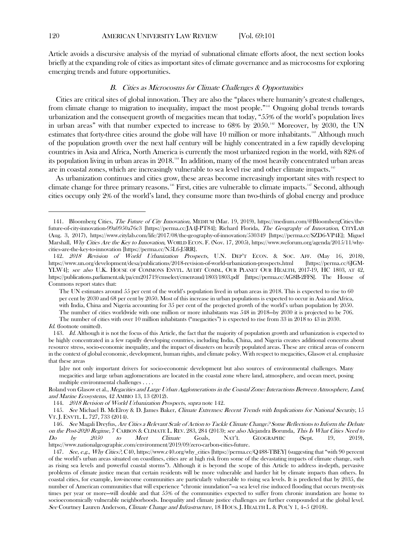Article avoids a discursive analysis of the myriad of subnational climate efforts afoot, the next section looks briefly at the expanding role of cities as important sites of climate governance and as microcosms for exploring emerging trends and future opportunities.

# <span id="page-19-9"></span><span id="page-19-8"></span><span id="page-19-0"></span>B. Cities as Microcosms for Climate Challenges & Opportunities

Cities are critical sites of global innovation. They are also the "places where humanity's greatest challenges, from climate change to migration to inequality, impact the most people."<sup>[141](#page-19-1)</sup> Ongoing global trends towards urbanization and the consequent growth of megacities mean that today, "55% of the world's population lives in urban areas" with that number expected to increase to 68% by 2050.<sup>[142](#page-19-2)</sup> Moreover, by 2030, the UN estimates that forty-three cities around the globe will have 10 million or more inhabitants.<sup>[143](#page-19-3)</sup> Although much of the population growth over the next half century will be highly concentrated in a few rapidly developing countries in Asia and Africa, North America is currently the most urbanized region in the world, with 82% of its population living in urban areas in 2018.<sup>14</sup> In addition, many of the most heavily concentrated urban areas are in coastal zones, which are increasingly vulnerable to sea level rise and other climate impacts.<sup>145</sup>

As urbanization continues and cities grow, these areas become increasingly important sites with respect to climate change for three primary reasons.<sup>[146](#page-19-6)</sup> First, cities are vulnerable to climate impacts.<sup>[147](#page-19-7)</sup> Second, although cities occupy only 2% of the world's land, they consume more than two-thirds of global energy and produce

144. 2018 Revision of World Urbanization Prospects, supra note [142.](#page-19-0)

<span id="page-19-1"></span><sup>141.</sup> Bloomberg Cities, The Future of City Innovation, MEDIUM (Mar. 19, 2019), https://medium.com/@BloombergCities/thefuture-of-city-innovation-99a0950a76c3 [https://perma.cc/JA4J-PT84]; Richard Florida, The Geography of Innovation, CITYLAB (Aug. 3, 2017), https://www.citylab.com/life/2017/08/the-geography-of-innovation/530349 [https://perma.cc/SZD6-VP4E]; Miguel Marshall, Why Cities Are the Key to Innovation, WORLD ECON. F. (Nov. 17, 2005), https://www.weforum.org/agenda/2015/11/whycities-are-the-key-to-innovation [https://perma.cc/N5L6-J5RR].

<span id="page-19-2"></span><sup>142.</sup> 2018 Revision of World Urbanization Prospects, U.N. DEP'T ECON. & SOC. AFF. (May 16, 2018), https://www.un.org/development/desa/publications/2018-revision-of-world-urbanization-prospects.html [https://perma.cc/6JGM-YLW4]; see also U.K. HOUSE OF COMMONS ENVTL. AUDIT COMM., OUR PLANET OUR HEALTH, 2017-19, HC 1803, AT 42, https://publications.parliament.uk/pa/cm201719/cmselect/cmenvaud/1803/1803.pdf [https://perma.cc/AG8B-2FFS]. The House of Commons report states that:

The UN estimates around 55 per cent of the world's population lived in urban areas in 2018. This is expected to rise to 60 per cent by 2030 and 68 per cent by 2050. Most of this increase in urban populations is expected to occur in Asia and Africa, with India, China and Nigeria accounting for 35 per cent of the projected growth of the world's urban population by 2050. The number of cities worldwide with one million or more inhabitants was 548 in 2018—by 2030 it is projected to be 706.

The number of cities with over 10 million inhabitants ("megacities") is expected to rise from 33 in 2018 to 43 in 2030. Id. (footnote omitted).

<span id="page-19-3"></span><sup>143.</sup> Id. Although it is not the focus of this Article, the fact that the majority of population growth and urbanization is expected to be highly concentrated in a few rapidly developing countries, including India, China, and Nigeria creates additional concerns about resource stress, socio-economic inequality, and the impact of disasters on heavily populated areas. These are critical areas of concern in the context of global economic, development, human rights, and climate policy. With respect to megacities, Glasow et al. emphasize that these areas

<sup>[</sup>a]re not only important drivers for socio-economic development but also sources of environmental challenges. Many megacities and large urban agglomerations are located in the coastal zone where land, atmosphere, and ocean meet, posing multiple environmental challenges . . . .

Roland von Glasow et al., Megacities and Large Urban Agglomerations in the Coastal Zone: Interactions Between Atmosphere, Land, and Marine Ecosystems, 42 AMBIO 13, 13 (2012).

<span id="page-19-5"></span><span id="page-19-4"></span><sup>145.</sup> See Michael B. McElroy & D. James Baker, Climate Extremes: Recent Trends with Implications for National Security, 15 VT. J. ENVTL. L. 727, 733 (2014).

<span id="page-19-6"></span><sup>146.</sup> See Magali Dreyfus, Are Cities <sup>a</sup> Relevant Scale of Action to Tackle Climate Change? Some Reflections to Inform the Debate on the Post-2020 Regime, 7 CARBON & CLIMATE L. REV. 283, 284 (2013); see also Alejandra Borunda, This Is What Cities Need to Do by 2050 to Meet Climate Goals, NAT'L GEOGRAPHIC (Sept. 19, 2019), https://www.nationalgeographic.com/environment/2019/09/zero-carbon-cities-future.

<span id="page-19-7"></span><sup>147.</sup> See, e.g., Why Cities?, C40, https://www.c40.org/why\_cities [https://perma.cc/Q488-TBEY] (suggesting that "with 90 percent of the world's urban areas situated on coastlines, cities are at high risk from some of the devastating impacts of climate change, such as rising sea levels and powerful coastal storms"). Although it is beyond the scope of this Article to address in-depth, pervasive problems of climate justice mean that certain residents will be more vulnerable and harder hit by climate impacts than others. In coastal cities, for example, low-income communities are particularly vulnerable to rising sea levels. It is predicted that by 2035, the number of American communities that will experience "chronic inundation"—a sea level rise induced flooding that occurs twenty-six times per year or more—will double and that 55% of the communities expected to suffer from chronic inundation are home to socioeconomically vulnerable neighborhoods. Inequality and climate justice challenges are further compounded at the global level. See Courtney Lauren Anderson, Climate Change and Infrastructure, 18 HOUS. J. HEALTH L. & POL'Y 1, 4–5 (2018).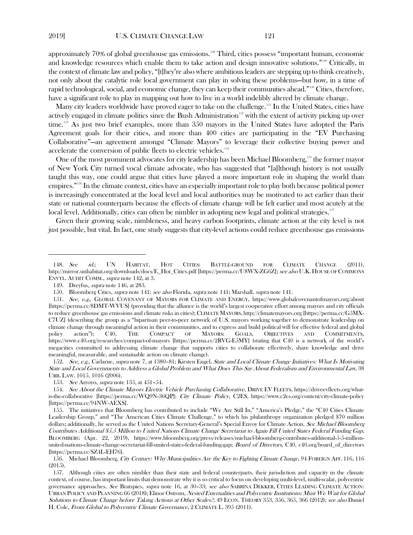approximately 70% of global greenhouse gas emissions.<sup>[148](#page-20-0)</sup> Third, cities possess "important human, economic and knowledge resources which enable them to take action and design innovative solutions."<sup>[149](#page-20-1)</sup> Critically, in the context of climate law and policy, "[t]hey're also where ambitious leaders are stepping up to think creatively, not only about the catalytic role local government can play in solving these problems—but how, in a time of rapid technological, social, and economic change, they can keep their communities ahead." [150](#page-20-2) Cities, therefore, have a significant role to play in mapping out how to live in a world indelibly altered by climate change.

Many city leaders worldwide have proved eager to take on the challenge.<sup>[151](#page-20-3)</sup> In the United States, cities have actively engaged in climate politics since the Bush Administration<sup>[152](#page-20-4)</sup> with the extent of activity picking up over time.<sup>153</sup> As just two brief examples, more than 350 mayors in the United States have adopted the Paris Agreement goals for their cities, and more than 400 cities are participating in the "EV Purchasing Collaborative"—an agreement amongst "Climate Mayors" to leverage their collective buying power and accelerate the conversion of public fleets to electric vehicles. [154](#page-20-6)

One of the most prominent advocates for city leadership has been Michael Bloomberg, <sup>[155](#page-20-7)</sup> the former mayor of New York City turned vocal climate advocate, who has suggested that "[a]lthough history is not usually taught this way, one could argue that cities have played a more important role in shaping the world than empires.["156](#page-20-8) In the climate context, cities have an especially important role to play both because political power is increasingly concentrated at the local level and local authorities may be motivated to act earlier than their state or national counterparts because the effects of climate change will be felt earlier and most acutely at the local level. Additionally, cities can often be nimbler in adopting new legal and political strategies.<sup>[157](#page-20-9)</sup>

Given their growing scale, nimbleness, and heavy carbon footprints, climate action at the city level is not just possible, but vital. In fact, one study suggests that city-level actions could reduce greenhouse gas emissions

<span id="page-20-4"></span>152. See, e.g., Carlarne, supra note [7,](#page-2-6) at 1380–81; Kirsten Engel, State and Local Climate Change Initiatives: What Is Motivating State and Local Governments to Address a Global Problem and What Does This Say About Federalism and Environmental Law, 38 URB. LAW. 1015, 1016 (2006).

<span id="page-20-0"></span><sup>148.</sup> See id.; UN HABITAT, HOT CITIES: BATTLE-GROUND FOR CLIMATE CHANGE (2011), http://mirror.unhabitat.org/downloads/docs/E\_Hot\_Cities.pdf [https://perma.cc/U8WX-ZG6Z]; see also U.K. HOUSE OF COMMONS ENVTL. AUDIT COMM., supra note [142,](#page-19-0) at 3.

<sup>149.</sup> Dreyfus, supra note [146,](#page-19-8) at 283.

<sup>150.</sup> Bloomberg Cities, supra note [141;](#page-19-9) see also Florida, supra note [141;](#page-19-9) Marshall, supra not[e 141.](#page-19-9)

<span id="page-20-3"></span><span id="page-20-2"></span><span id="page-20-1"></span><sup>151.</sup> See, e.g., GLOBAL COVENANT OF MAYORS FOR CLIMATE AND ENERGY, https://www.globalcovenantofmayors.org/about [https://perma.cc/8DMT-WVUS] (providing that the alliance is the world's largest cooperative effort among mayors and city officials to reduce greenhouse gas emissions and climate risks in cities); CLIMATE MAYORS, [http://climatemayors.org](http://climatemayors.org/) [https://perma.cc/G5MX-C7UZ] (describing the group as a "bipartisan peer-to-peer network of U.S. mayors working together to demonstrate leadership on climate change through meaningful action in their communities, and to express and build political will for effective federal and global policy action"); C40, THE COMPACT OF MAYORS: GOALS, OBJECTIVES AND COMMITMENTS, https://www.c40.org/researches/compact-of-mayors [https://perma.cc/2RVG-E5MY] (stating that C40 is a network of the world's megacities committed to addressing climate change that supports cities to collaborate effectively, share knowledge and drive meaningful, measurable, and sustainable action on climate change).

<sup>153.</sup> See Arroyo, *supra* note [135,](#page-18-0) at 451-54.

<span id="page-20-6"></span><span id="page-20-5"></span><sup>154.</sup> See About the Climate Mayors Electric Vehicle Purchasing Collaborative, DRIVE EV FLEETS, https://driveevfleets.org/whatis-the-collaborative [https://perma.cc/WQ9N-36QP]; City Climate Policy, C2ES, https://www.c2es.org/content/city-climate-policy [https://perma.cc/94NW-AEXS].

<span id="page-20-7"></span><sup>155.</sup> The initiatives that Bloomberg has contributed to include "We Are Still In," "America's Pledge," the "C40 Cities Climate Leadership Group," and "The American Cities Climate Challenge," to which his philanthropy organization pledged \$70 million dollars; additionally, he served as the United Nations Secretary-General's Special Envoy for Climate Action. See Michael Bloomberg Contributes Additional \$5.5 Million to United Nations Climate Change Secretariat to Again Fill United States Federal Funding Gap, BLOOMBERG (Apr. 22, 2019), https://www.bloomberg.org/press/releases/michael-bloomberg-contributes-additional-5-5-millionunited-nations-climate-change-secretariat-fill-united-states-federal-funding-gap; Board of Directors, C40, c40.org/board\_of\_directors [https://perma.cc/SZ4L-EH76].

<span id="page-20-8"></span><sup>156.</sup> Michael Bloomberg, City Century: Why Municipalities Are the Key to Fighting Climate Change, 94 FOREIGN AFF. 116, 116 (2015).

<span id="page-20-9"></span><sup>157.</sup> Although cities are often nimbler than their state and federal counterparts, their jurisdiction and capacity in the climate context, of course, has important limits that demonstrate why it is so critical to focus on developing multi-level, multi-scalar, polycentric governance approaches. See Bratspies, supra note [16,](#page-3-5) at 30-33; see also SABRINA DEKKER, CITIES LEADING CLIMATE ACTION: URBAN POLICY AND PLANNING 66 (2018); Elinor Ostrom, Nested Externalities and Polycentric Institutions: Must We Wait for Global Solutions to Climate Change before Taking Actions at Other Scales?, 49 ECON. THEORY 353, 356, 365, 366 (2012); see also Daniel H. Cole, From Global to Polycentric Climate Governance, 2 CLIMATE L. 395 (2011).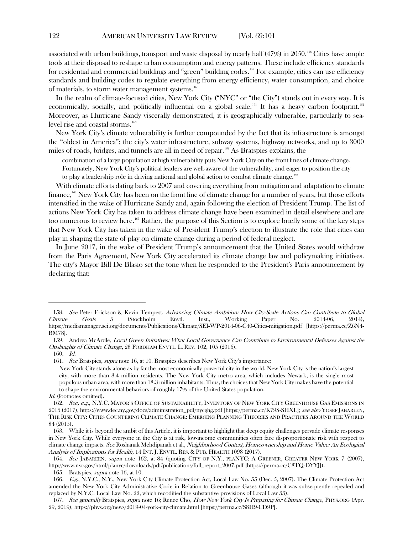associated with urban buildings, transport and waste disposal by nearly half (47%) in 2050.<sup>[158](#page-21-1)</sup> Cities have ample tools at their disposal to reshape urban consumption and energy patterns. These include efficiency standards for residential and commercial buildings and "green" building codes.[159](#page-21-2) For example, cities can use efficiency standards and building codes to regulate everything from energy efficiency, water consumption, and choice of materials, to storm water management systems.<sup>[160](#page-21-3)</sup>

In the realm of climate-focused cities, New York City ("NYC" or "the City") stands out in every way. It is economically, socially, and politically influential on a global scale.<sup>[161](#page-21-4)</sup> It has a heavy carbon footprint.<sup>[162](#page-21-5)</sup> Moreover, as Hurricane Sandy viscerally demonstrated, it is geographically vulnerable, particularly to sea-level rise and coastal storms.<sup>[163](#page-21-6)</sup>

New York City's climate vulnerability is further compounded by the fact that its infrastructure is amongst the "oldest in America"; the city's water infrastructure, subway systems, highway networks, and up to 3000 miles of roads, bridges, and tunnels are all in need of repair.[164](#page-21-7) As Bratspies explains, the

<span id="page-21-0"></span>combination of a large population at high vulnerability puts New York City on the front lines of climate change. Fortunately, New York City's political leaders are well-aware of the vulnerability, and eager to position the city

to play a leadership role in driving national and global action to combat climate change.<sup>[165](#page-21-8)</sup>

With climate efforts dating back to 2007 and covering everything from mitigation and adaptation to climate finance,<sup>[166](#page-21-9)</sup> New York City has been on the front line of climate change for a number of years, but those efforts intensified in the wake of Hurricane Sandy and, again following the election of President Trump. The list of actions New York City has taken to address climate change have been examined in detail elsewhere and are too numerous to review here.<sup>[167](#page-21-10)</sup> Rather, the purpose of this Section is to explore briefly some of the key steps that New York City has taken in the wake of President Trump's election to illustrate the role that cities can play in shaping the state of play on climate change during a period of federal neglect.

In June 2017, in the wake of President Trump's announcement that the United States would withdraw from the Paris Agreement, New York City accelerated its climate change law and policymaking initiatives. The city's Mayor Bill De Blasio set the tone when he responded to the President's Paris announcement by declaring that:

165. Bratspies, supra note [16,](#page-3-5) at 10.

<span id="page-21-1"></span><sup>158.</sup> See Peter Erickson & Kevin Tempest, Advancing Climate Ambition: How City-Scale Actions Can Contribute to Global Climate Goals 5 (Stockholm Envtl. Inst., Working Paper No. 2014-06, 2014), https://mediamanager.sei.org/documents/Publications/Climate/SEI-WP-2014-06-C40-Cities-mitigation.pdf [https://perma.cc/Z6N4- BM78].

<span id="page-21-2"></span><sup>159.</sup> Andrea McArdle, Local Green Initiatives: What Local Governance Can Contribute to Environmental Defenses Against the Onslaughts of Climate Change, 28 FORDHAM ENVTL. L. REV. 102, 105 (2016).

<span id="page-21-4"></span><span id="page-21-3"></span><sup>160.</sup> Id.

<sup>161.</sup> See Bratspies, supra note [16,](#page-3-5) at 10. Bratspies describes New York City's importance:

New York City stands alone as by far the most economically powerful city in the world. New York City is the nation's largest city, with more than 8.4 million residents. The New York City metro area, which includes Newark, is the single most populous urban area, with more than 18.3 million inhabitants. Thus, the choices that New York City makes have the potential to shape the environmental behaviors of roughly 17% of the United States population.

Id. (footnotes omitted).

<span id="page-21-5"></span><sup>162.</sup> See, e.g., N.Y.C. MAYOR'S OFFICE OF SUSTAINABILITY, INVENTORY OF NEW YORK CITY GREENHOUSE GAS EMISSIONS IN 2015 (2017), https://www.dec.ny.gov/docs/administration\_pdf/nycghg.pdf [https://perma.cc/K79S-SHXL]; see also YOSEF JABAREEN, THE RISK CITY: CITIES COUNTERING CLIMATE CHANGE: EMERGING PLANNING THEORIES AND PRACTICES AROUND THE WORLD 84 (2015).

<span id="page-21-6"></span><sup>163.</sup> While it is beyond the ambit of this Article, it is important to highlight that deep equity challenges pervade climate responses in New York City. While everyone in the City is at risk, low-income communities often face disproportionate risk with respect to climate change impacts. See Roshanak Mehdipanah et al., Neighborhood Context, Homeownership and Home Value: An Ecological Analysis of Implications for Health, 14 INT. J. ENVTL. RES. & PUB. HEALTH 1098 (2017).

<span id="page-21-7"></span><sup>164.</sup> See JABAREEN, supra note [162,](#page-21-0) at 84 (quoting CITY OF N.Y., PLANYC: A GREENER, GREATER NEW YORK 7 (2007), http://www.nyc.gov/html/planyc/downloads/pdf/publications/full\_report\_2007.pdf [https://perma.cc/C8TQ-DYYJ]).

<span id="page-21-9"></span><span id="page-21-8"></span><sup>166.</sup> E.g., N.Y.C., N.Y., New York City Climate Protection Act, Local Law No. 55 (Dec. 5, 2007). The Climate Protection Act amended the New York City Administrative Code in Relation to Greenhouse Gases (although it was subsequently repealed and replaced by N.Y.C. Local Law No. 22, which recodified the substantive provisions of Local Law 55).

<span id="page-21-10"></span><sup>167.</sup> See generally Bratspies, supra note [16;](#page-3-5) Renee Cho, How New York City Is Preparing for Climate Change, PHYS.ORG (Apr. 29, 2019), https://phys.org/news/2019-04-york-city-climate.html [https://perma.cc/S8H9-CD9P].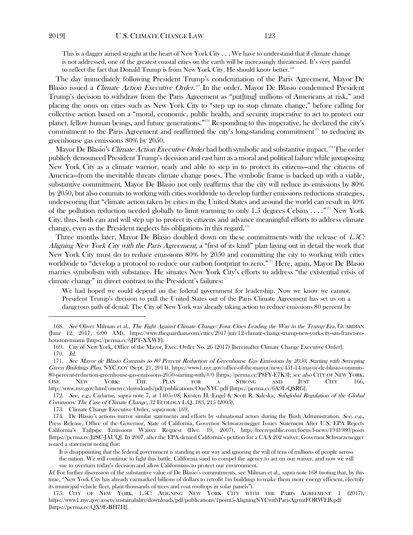<span id="page-22-1"></span><span id="page-22-0"></span>This is a dagger aimed straight at the heart of New York City  $\ldots$  We have to understand that if climate change is not addressed, one of the greatest coastal cities on the earth will be increasingly threatened. It's very painful to reflect the fact that Donald Trump is from New York City. He should know better.<sup>[168](#page-22-2)</sup>

The day immediately following President Trump's condemnation of the Paris Agreement, Mayor De Blasio issued a *Climate Action Executive Order*.<sup>[169](#page-22-3)</sup> In the order, Mayor De Blasio condemned President Trump's decision to withdraw from the Paris Agreement as "put[ting] millions of Americans at risk," and placing the onus on cities such as New York City to "step up to stop climate change," before calling for collective action based on a "moral, economic, public health, and security imperative to act to protect our planet, fellow human beings, and future generations."[170](#page-22-4) Responding to this imperative, he declared the city's commitment to the Paris Agreement and reaffirmed the city's long-standing commitment<sup>[171](#page-22-5)</sup> to reducing its greenhouse gas emissions 80% by 2050.

Mayor De Blasio's *Climate Action Executive Order* had both symbolic and substantive impact.<sup>[172](#page-22-6)</sup> The order publicly denounced President Trump's decision and cast him as a moral and political failure while juxtaposing New York City as a climate warrior, ready and able to step in to protect its citizens—and the citizens of America—from the inevitable threats climate change poses. The symbolic frame is backed up with a viable, substantive commitment. Mayor De Blasio not only reaffirms that the city will reduce its emissions by 80% by 2050, but also commits to working with cities worldwide to develop further emissions reductions strategies, underscoring that "climate action taken by cities in the United States and around the world can result in 40% of the pollution reduction needed globally to limit warming to only 1.5 degrees Celsius . . . ." [173](#page-22-7) New York City, thus, both can and will step up to protect its citizens and advance meaningful efforts to address climate change, even as the President neglects his obligations in this regard.<sup>[174](#page-22-8)</sup>

Three months later, Mayor De Blasio doubled down on these commitments with the release of 1.5C: Aligning New York City with the Paris Agreement, a "first of its kind" plan laying out in detail the work that New York City must do to reduce emissions 80% by 2050 and committing the city to working with cities worldwide to "develop a protocol to reduce our carbon footprint to zero."[175](#page-22-9) Here, again, Mayor De Blasio marries symbolism with substance. He situates New York City's efforts to address "the existential crisis of climate change" in direct contrast to the President's failures:

We had hoped we could depend on the federal government for leadership. Now we know we cannot. President Trump's decision to pull the United States out of the Paris Climate Agreement has set us on a dangerous path of denial. The City of New York was already taking action to reduce emissions 80 percent by

173. Climate Change Executive Order, *supra* not[e 169.](#page-22-0)

<span id="page-22-2"></span><sup>168.</sup> See Oliver Milman et al., The Fight Against Climate Change: Four Cities Leading the Way in the Trump Era, GUARDIAN (June 12, 2017, 6:00 AM), https://www.theguardian.com/cities/2017/jun/12/climate-change-trump-new-york-city-san-franciscohouston-miami [https://perma.cc/6JPT-XXWF].

<sup>169.</sup> City of New York, Office of the Mayor, Exec. Order No. 26 (2017) [hereinafter Climate Change Executive Order]. 170. Id.

<span id="page-22-5"></span><span id="page-22-4"></span><span id="page-22-3"></span><sup>171.</sup> See Mayor de Blasio Commits to 80 Percent Reduction of Greenhouse Gas Emissions by 2050, Starting with Sweeping Green Buildings Plan, NYC.GOV (Sept. 21, 2014), https://www1.nyc.gov/office-of-the-mayor/news/451-14/mayor-de-blasio-commits-80-percent-reduction-greenhouse-gas-emissions-2050-starting-with/#/0 [https://perma.cc/P8FY-E7K3]; see also CITY OF NEW YORK, ONE NEW YORK: THE PLAN FOR A STRONG AND JUST CITY 166, http://www.nyc.gov/html/onenyc/downloads/pdf/publications/OneNYC.pdf [https://perma.cc/6A9L-QSRG].

<span id="page-22-6"></span><sup>172.</sup> See, e.g., Carlarne, supra note [7,](#page-2-6) at 1405–08; Kirsten H. Engel & Scott R. Saleska, Subglobal Regulation of the Global Commons: The Case of Climate Change, 32 ECOLOGY L.Q. 183, 215 (2005).

<span id="page-22-8"></span><span id="page-22-7"></span><sup>174.</sup> De Blasio's actions mirror similar statements and efforts by subnational actors during the Bush Administration. See, e.g., Press Release, Office of the Governor, State of California, Governor Schwarzenegger Issues Statement After U.S. EPA Rejects California's Tailpipe Emissions Waiver Request (Dec. 19, 2007), http://freerepublic.com/focus/f-news/1941980/posts [https://perma.cc/J2SC-JAUQ]. In 2007, after the EPA denied California's petition for a CAA 202 waiver, Governor Schwarzenegger issued a statement noting that:

It is disappointing that the federal government is standing in our way and ignoring the will of tens of millions of people across the nation. We will continue to fight this battle. California sued to compel the agency to act on our waiver, and now we will sue to overturn today's decision and allow Californians to protect our environment.

Id. For further discussion of the substantive value of De Blasio's commitments, see Milman et al., *supra* not[e 168](#page-22-1) (noting that, by this time, "New York City has already earmarked billions of dollars to retrofit 1m buildings to make them more energy efficient, electrify its municipal vehicle fleet, plant thousands of trees and coat rooftops in solar panels").

<span id="page-22-9"></span><sup>175.</sup> CITY OF NEW YORK, 1.5C: ALIGNING NEW YORK CITY WITH THE PARIS AGREEMENT 1 (2017), https://www1.nyc.gov/assets/sustainability/downloads/pdf/publications/1point5-AligningNYCwithParisAgrmtFORWEB.pdf [https://perma.cc/QX9E-BH7H].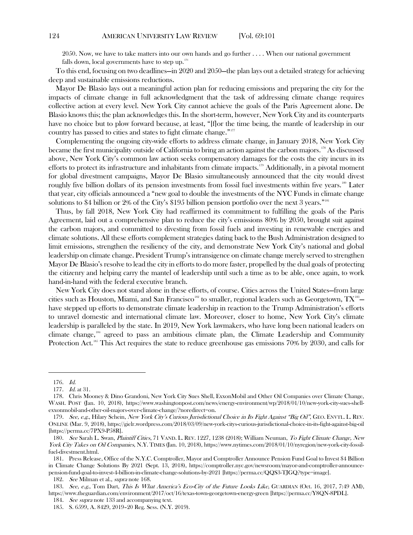2050. Now, we have to take matters into our own hands and go further . . . . When our national government falls down, local governments have to step up. $176$ 

To this end, focusing on two deadlines—in 2020 and 2050—the plan lays out a detailed strategy for achieving deep and sustainable emissions reductions.

Mayor De Blasio lays out a meaningful action plan for reducing emissions and preparing the city for the impacts of climate change in full acknowledgment that the task of addressing climate change requires collective action at every level. New York City cannot achieve the goals of the Paris Agreement alone. De Blasio knows this; the plan acknowledges this. In the short-term, however, New York City and its counterparts have no choice but to plow forward because, at least, "[f]or the time being, the mantle of leadership in our country has passed to cities and states to fight climate change."<sup>[177](#page-23-1)</sup>

Complementing the ongoing city-wide efforts to address climate change, in January 2018, New York City became the first municipality outside of California to bring an action against the carbon majors.[178](#page-23-2) As discussed above, New York City's common law action seeks compensatory damages for the costs the city incurs in its efforts to protect its infrastructure and inhabitants from climate impacts.<sup>[179](#page-23-3)</sup> Additionally, in a pivotal moment for global divestment campaigns, Mayor De Blasio simultaneously announced that the city would divest roughly five billion dollars of its pension investments from fossil fuel investments within five years.<sup>[180](#page-23-4)</sup> Later that year, city officials announced a "new goal to double the investments of the NYC Funds in climate change solutions to \$4 billion or 2% of the City's \$195 billion pension portfolio over the next 3 years."<sup>[181](#page-23-5)</sup>

Thus, by fall 2018, New York City had reaffirmed its commitment to fulfilling the goals of the Paris Agreement, laid out a comprehensive plan to reduce the city's emissions 80% by 2050, brought suit against the carbon majors, and committed to divesting from fossil fuels and investing in renewable energies and climate solutions. All these efforts complement strategies dating back to the Bush Administration designed to limit emissions, strengthen the resiliency of the city, and demonstrate New York City's national and global leadership on climate change. President Trump's intransigence on climate change merely served to strengthen Mayor De Blasio's resolve to lead the city in efforts to do more faster, propelled by the dual goals of protecting the citizenry and helping carry the mantel of leadership until such a time as to be able, once again, to work hand-in-hand with the federal executive branch.

New York City does not stand alone in these efforts, of course. Cities across the United States—from large cities such as Houston, Miami, and San Francisco $^{\text{\tiny{182}}}$  $^{\text{\tiny{182}}}$  $^{\text{\tiny{182}}}$  to smaller, regional leaders such as Georgetown,  $\text{TX}^{\text{\tiny{183}}}$  have stepped up efforts to demonstrate climate leadership in reaction to the Trump Administration's efforts to unravel domestic and international climate law. Moreover, closer to home, New York City's climate leadership is paralleled by the state. In 2019, New York lawmakers, who have long been national leaders on climate change,<sup>[184](#page-23-8)</sup> agreed to pass an ambitious climate plan, the Climate Leadership and Community Protection Act.<sup>[185](#page-23-9)</sup> This Act requires the state to reduce greenhouse gas emissions 70% by 2030, and calls for

<span id="page-23-9"></span><span id="page-23-8"></span><span id="page-23-7"></span><span id="page-23-6"></span>183. See, e.g., Tom Dart, This Is What America's Eco-City of the Future Looks Like, GUARDIAN (Oct. 16, 2017, 7:49 AM), https://www.theguardian.com/environment/2017/oct/16/texas-town-georgetown-energy-green [https://perma.cc/Y8QN-8PDL].

<sup>176.</sup> Id.

<sup>177.</sup> Id. at 31.

<span id="page-23-2"></span><span id="page-23-1"></span><span id="page-23-0"></span><sup>178.</sup> Chris Mooney & Dino Grandoni, New York City Sues Shell, ExxonMobil and Other Oil Companies over Climate Change, WASH. POST (Jan. 10, 2018), https://www.washingtonpost.com/news/energy-environment/wp/2018/01/10/new-york-city-sues-shellexxonmobil-and-other-oil-majors-over-climate-change/?noredirect=on.

<span id="page-23-3"></span><sup>179.</sup> See, e.g., Hilary Schein, New York City's Curious Jurisdictional Choice in Its Fight Against "Big Oil", GEO. ENVTL. L. REV. ONLINE (Mar. 9, 2018), https://gielr.wordpress.com/2018/03/09/new-york-citys-curious-jurisdictional-choice-in-its-fight-against-big-oil [https://perma.cc/7PX9-P58R].

<span id="page-23-4"></span><sup>180.</sup> See Sarah L. Swan, Plaintiff Cities, 71 VAND. L. REV. 1227, 1238 (2018); William Neuman, To Fight Climate Change, New York City Takes on Oil Companies, N.Y. TIMES (Jan. 10, 2018), https://www.nytimes.com/2018/01/10/nyregion/new-york-city-fossilfuel-divestment.html.

<span id="page-23-5"></span><sup>181.</sup> Press Release, Office of the N.Y.C. Comptroller, Mayor and Comptroller Announce Pension Fund Goal to Invest \$4 Billion in Climate Change Solutions By 2021 (Sept. 13, 2018), https://comptroller.nyc.gov/newsroom/mayor-and-comptroller-announcepension-fund-goal-to-invest-4-billion-in-climate-change-solutions-by-2021 [https://perma.cc/QQS3-TJGQ?type=image].

<sup>182.</sup> *See* Milman et al., *supra* not[e 168.](#page-22-1)

<sup>184.</sup> See supra note [133](#page-18-10) and accompanying text.

<sup>185.</sup> S. 6599, A. 8429, 2019–20 Reg. Sess. (N.Y. 2019).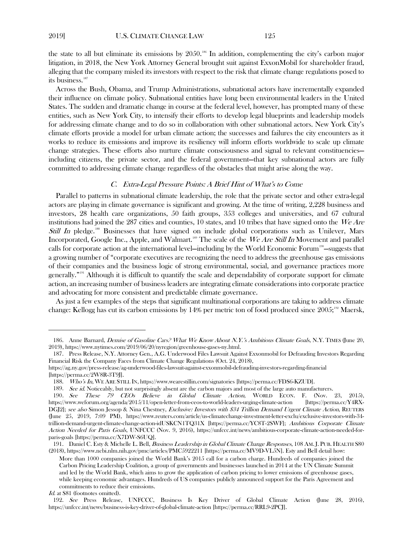the state to all but eliminate its emissions by 2050.[186](#page-24-0) In addition, complementing the city's carbon major litigation, in 2018, the New York Attorney General brought suit against ExxonMobil for shareholder fraud, alleging that the company misled its investors with respect to the risk that climate change regulations posed to its business.<sup>[187](#page-24-1)</sup>

Across the Bush, Obama, and Trump Administrations, subnational actors have incrementally expanded their influence on climate policy. Subnational entities have long been environmental leaders in the United States. The sudden and dramatic change in course at the federal level, however, has prompted many of these entities, such as New York City, to intensify their efforts to develop legal blueprints and leadership models for addressing climate change and to do so in collaboration with other subnational actors. New York City's climate efforts provide a model for urban climate action; the successes and failures the city encounters as it works to reduce its emissions and improve its resiliency will inform efforts worldwide to scale up climate change strategies. These efforts also nurture climate consciousness and signal to relevant constituencies including citizens, the private sector, and the federal government—that key subnational actors are fully committed to addressing climate change regardless of the obstacles that might arise along the way.

# <span id="page-24-7"></span>C. Extra-Legal Pressure Points: A Brief Hint of What's to Come

Parallel to patterns in subnational climate leadership, the role that the private sector and other extra-legal actors are playing in climate governance is significant and growing. At the time of writing, 2,228 business and investors, 28 health care organizations, 50 faith groups, 353 colleges and universities, and 67 cultural institutions had joined the 287 cities and counties, 10 states, and 10 tribes that have signed onto the We Are Still In pledge.<sup>[188](#page-24-2)</sup> Businesses that have signed on include global corporations such as Unilever, Mars Incorporated, Google Inc., Apple, and Walmart.<sup>[189](#page-24-3)</sup> The scale of the We Are Still In Movement and parallel calls for corporate action at the international level—including by the World Economic Forum[190](#page-24-4)—suggests that a growing number of "corporate executives are recognizing the need to address the greenhouse gas emissions of their companies and the business logic of strong environmental, social, and governance practices more generally."<sup>[191](#page-24-5)</sup> Although it is difficult to quantify the scale and dependability of corporate support for climate action, an increasing number of business leaders are integrating climate considerations into corporate practice and advocating for more consistent and predictable climate governance.

As just a few examples of the steps that significant multinational corporations are taking to address climate change: Kellogg has cut its carbon emissions by 14% per metric ton of food produced since  $2005$ ;<sup>[192](#page-24-6)</sup> Maersk,

<span id="page-24-0"></span><sup>186.</sup> Anne Barnard, *Demise of Gasoline Cars? What We Know About N.Y.'s Ambitious Climate Goals*, N.Y. TIMES (June 20, 2019), https://www.nytimes.com/2019/06/20/nyregion/greenhouse-gases-ny.html.

<span id="page-24-1"></span><sup>187.</sup> Press Release, N.Y. Attorney Gen., A.G. Underwood Files Lawsuit Against Exxonmobil for Defrauding Investors Regarding Financial Risk the Company Faces from Climate Change Regulations (Oct. 24, 2018),

<span id="page-24-2"></span>https://ag.ny.gov/press-release/ag-underwood-files-lawsuit-against-exxonmobil-defrauding-investors-regarding-financial [https://perma.cc/2W8R-3T9J].

<sup>188.</sup> Who's In, WE ARE STILL IN, https://www.wearestillin.com/signatories [https://perma.cc/FDS6-KZUD].

<sup>189.</sup> See id. Noticeably, but not surprisingly absent are the carbon majors and most of the large auto manufacturers.

<span id="page-24-4"></span><span id="page-24-3"></span><sup>190</sup>. See These 79 CEOs Believe in Global Climate Action, WORLD ECON. F. (Nov. 23, 2015), https://www.weforum.org/agenda/2015/11/open-letter-from-ceos-to-world-leaders-urging-climate-action [https://perma.cc/Y4RX-DGJ2]; see also Simon Jessop & Nina Chestney, Exclusive: Investors with \$34 Trillion Demand Urgent Climate Action, REUTERS (June 25, 2019, 7:09 PM), https://www.reuters.com/article/us-climatechange-investment-letter-exclu/exclusive-investors-with-34 trillion-demand-urgent-climate-change-action-idUSKCN1TQ31X [https://perma.cc/YC8T-2SWF]; Ambitious Corporate Climate Action Needed for Paris Goals, UNFCCC (Nov. 9, 2016), https://unfccc.int/news/ambitious-corporate-climate-action-needed-forparis-goals [https://perma.cc/X7DW-S6UQ].

<span id="page-24-5"></span><sup>191.</sup> Daniel C. Esty & Michelle L. Bell, *Business Leadership in Global Climate Change Responses*, 108 AM. J. PUB. HEALTH S80 (2018)[, https://www.ncbi.nlm.nih.gov/pmc/articles/PMC5922211](https://www.ncbi.nlm.nih.gov/pmc/articles/PMC5922211/) [https://perma.cc/MV9D-VL5N]. Esty and Bell detail how:

More than 1000 companies joined the World Bank's 2015 call for a carbon charge. Hundreds of companies joined the Carbon Pricing Leadership Coalition, a group of governments and businesses launched in 2014 at the UN Climate Summit and led by the World Bank, which aims to grow the application of carbon pricing to lower emissions of greenhouse gases, while keeping economic advantages. Hundreds of US companies publicly announced support for the Paris Agreement and commitments to reduce their emissions.

Id. at S81 (footnotes omitted).

<span id="page-24-6"></span><sup>192.</sup> See Press Release, UNFCCC, Business Is Key Driver of Global Climate Action (June 28, 2016), https://unfccc.int/news/business-is-key-driver-of-global-climate-action [https://perma.cc/RRL9-2PCJ].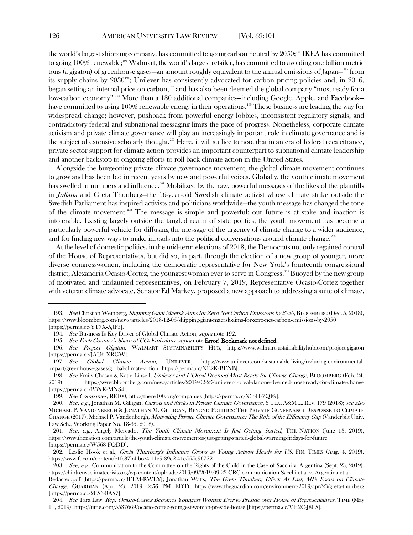the world's largest shipping company, has committed to going carbon neutral by 2050;<sup>[193](#page-25-0)</sup> IKEA has committed to going 100% renewable;<sup>[194](#page-25-1)</sup> Walmart, the world's largest retailer, has committed to avoiding one billion metric tons (a gigaton) of greenhouse gases—an amount roughly equivalent to the annual emissions of Japan—[195](#page-25-2) from its supply chains by 2030<sup>[196](#page-25-3)</sup>; Unilever has consistently advocated for carbon pricing policies and, in 2016, began setting an internal price on carbon,<sup>[197](#page-25-4)</sup> and has also been deemed the global company "most ready for a low-carbon economy".<sup>[198](#page-25-5)</sup> More than a 180 additional companies—including Google, Apple, and Facebook— have committed to using 100% renewable energy in their operations.<sup>[199](#page-25-6)</sup> These business are leading the way for widespread change; however, pushback from powerful energy lobbies, inconsistent regulatory signals, and contradictory federal and subnational messaging limits the pace of progress. Nonetheless, corporate climate activism and private climate governance will play an increasingly important role in climate governance and is the subject of extensive scholarly thought.<sup>[200](#page-25-7)</sup> Here, it will suffice to note that in an era of federal recalcitrance, private sector support for climate action provides an important counterpart to subnational climate leadership and another backstop to ongoing efforts to roll back climate action in the United States.

Alongside the burgeoning private climate governance movement, the global climate movement continues to grow and has been fed in recent years by new and powerful voices. Globally, the youth climate movement has swelled in numbers and influence.<sup>[201](#page-25-8)</sup> Mobilized by the raw, powerful messages of the likes of the plaintiffs in Juliana and Greta Thunberg—the 16-year-old Swedish climate activist whose climate strike outside the Swedish Parliament has inspired activists and politicians worldwide—the youth message has changed the tone of the climate movement.<sup>[202](#page-25-9)</sup> The message is simple and powerful: our future is at stake and inaction is intolerable. Existing largely outside the tangled realm of state politics, the youth movement has become a particularly powerful vehicle for diffusing the message of the urgency of climate change to a wider audience, and for finding new ways to make inroads into the political conversations around climate change.<sup>[203](#page-25-10)</sup>

At the level of domestic politics, in the mid-term elections of 2018, the Democrats not only regained control of the House of Representatives, but did so, in part, through the election of a new group of younger, more diverse congresswomen, including the democratic representative for New York's fourteenth congressional district, Alexandria Ocasio-Cortez, the youngest woman ever to serve in Congress.<sup>[204](#page-25-11)</sup> Buoyed by the new group of motivated and undaunted representatives, on February 7, 2019, Representative Ocasio-Cortez together with veteran climate advocate, Senator Ed Markey, proposed a new approach to addressing a suite of climate,

<span id="page-25-0"></span><sup>193.</sup> See Christian Weinberg, Shipping Giant Maersk Aims for Zero Net Carbon Emissions by 2050, BLOOMBERG (Dec. 5, 2018), https://www.bloomberg.com/news/articles/2018-12-05/shipping-giant-maersk-aims-for-zero-net-carbon-emissions-by-2050 [https://perma.cc/YT7X-XJP5].

<sup>194.</sup> See Business Is Key Driver of Global Climate Action, supra note [192.](#page-24-7)

<sup>195.</sup> See Each Country's Share of CO<sub>2</sub> Emissions, supra note **Error! Bookmark not defined.**.

<span id="page-25-3"></span><span id="page-25-2"></span><span id="page-25-1"></span><sup>196.</sup> See Project Gigaton, WALMART SUSTAINABILITY HUB, https://www.walmartsustainabilityhub.com/project-gigaton [https://perma.cc/JAU6-XRGW].

<span id="page-25-4"></span><sup>197.</sup> See Global Climate Action, UNILEVER, https://www.unilever.com/sustainable-living/reducing-environmentalimpact/greenhouse-gases/global-climate-action [https://perma.cc/NE2K-BENB].

<span id="page-25-5"></span><sup>198.</sup> See Emily Chasan & Katie Linsell, Unilever and L'Oreal Deemed Most Ready for Climate Change, BLOOMBERG (Feb. 24, 2019), https://www.bloomberg.com/news/articles/2019-02-25/unilever-l-oreal-danone-deemed-most-ready-for-climate-change [https://perma.cc/B3XK-MNS4].

<sup>199.</sup> See Companies, RE100, http://there100.org/companies [https://perma.cc/X35H-7QF9].

<span id="page-25-7"></span><span id="page-25-6"></span><sup>200.</sup> See, e.g., Jonathan M. Gilligan, Carrots and Sticks in Private Climate Governance, 6 TEX. A&M L. REV. 179 (2018); see also MICHAEL P. VANDENBERGH & JONATHAN M. GILLIGAN, BEYOND POLITICS: THE PRIVATE GOVERNANCE RESPONSE TO CLIMATE CHANGE (2017); Michael P. Vandenbergh, Motivating Private Climate Governance: The Role of the Efficiency Gap (Vanderbilt Univ. Law Sch., Working Paper No. 18-35, 2018).

<span id="page-25-8"></span><sup>201.</sup> See, e.g., Angely Mercado, The Youth Climate Movement Is Just Getting Started, THE NATION (June 13, 2019), https://www.thenation.com/article/the-youth-climate-movement-is-just-getting-started-global-warming-fridays-for-future [https://perma.cc/W568-FQDD].

<span id="page-25-9"></span><sup>202.</sup> Leslie Hook et al., Greta Thunberg's Influence Grows as Young Activist Heads for US, FIN. TIMES (Aug. 4, 2019), https://www.ft.com/content/c1fc37b4-bce4-11e9-89e2-41e555e96722.

<span id="page-25-10"></span><sup>203.</sup> See, e.g., Communication to the Committee on the Rights of the Child in the Case of Sacchi v. Argentina (Sept. 23, 2019), https://childrenvsclimatecrisis.org/wp-content/uploads/2019/09/2019.09.23-CRC-communication-Sacchi-et-al-v.-Argentina-et-al-

Redacted.pdf [https://perma.cc/3ELM-RWLY]; Jonathan Watts, The Greta Thunberg Effect: At Last, MPs Focus on Climate Change, GUARDIAN (Apr. 23, 2019, 2:56 PM EDT), https://www.theguardian.com/environment/2019/apr/23/greta-thunberg [https://perma.cc/2ES6-8AS7].

<span id="page-25-11"></span><sup>204</sup>. See Tara Law, Rep. Ocasio-Cortez Becomes Youngest Woman Ever to Preside over House of Representatives, TIME (May 11, 2019), https://time.com/5587669/ocasio-cortez-youngest-woman-preside-house [https://perma.cc/VH2C-J8LS].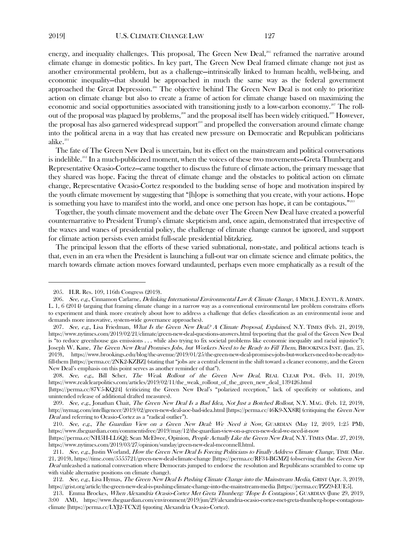energy, and inequality challenges. This proposal, The Green New Deal, [205](#page-26-0) reframed the narrative around climate change in domestic politics. In key part, The Green New Deal framed climate change not just as another environmental problem, but as a challenge—intrinsically linked to human health, well-being, and economic inequality—that should be approached in much the same way as the federal government approached the Great Depression.<sup>[206](#page-26-1)</sup> The objective behind The Green New Deal is not only to prioritize action on climate change but also to create a frame of action for climate change based on maximizing the economic and social opportunities associated with transitioning justly to a low-carbon economy.<sup>[207](#page-26-2)</sup> The roll-out of the proposal was plagued by problems,<sup>[208](#page-26-3)</sup> and the proposal itself has been widely critiqued.<sup>[209](#page-26-4)</sup> However, the proposal has also garnered widespread support<sup>[210](#page-26-5)</sup> and propelled the conversation around climate change into the political arena in a way that has created new pressure on Democratic and Republican politicians alike.<sup>[211](#page-26-6)</sup>

The fate of The Green New Deal is uncertain, but its effect on the mainstream and political conversations is indelible.<sup>[212](#page-26-7)</sup> In a much-publicized moment, when the voices of these two movements—Greta Thunberg and Representative Ocasio-Cortez—came together to discuss the future of climate action, the primary message that they shared was hope. Facing the threat of climate change and the obstacles to political action on climate change, Representative Ocasio-Cortez responded to the budding sense of hope and motivation inspired by the youth climate movement by suggesting that "[h]ope is something that you create, with your actions. Hope is something you have to manifest into the world, and once one person has hope, it can be contagious."<sup>[213](#page-26-8)</sup>

Together, the youth climate movement and the debate over The Green New Deal have created a powerful counternarrative to President Trump's climate skepticism and, once again, demonstrated that irrespective of the waxes and wanes of presidential policy, the challenge of climate change cannot be ignored, and support for climate action persists even amidst full-scale presidential blitzkrieg.

The principal lesson that the efforts of these varied subnational, non-state, and political actions teach is that, even in an era when the President is launching a full-out war on climate science and climate politics, the march towards climate action moves forward undaunted, perhaps even more emphatically as a result of the

<sup>205.</sup> H.R. Res. 109, 116th Congress (2019).

<span id="page-26-1"></span><span id="page-26-0"></span><sup>206.</sup> See, e.g., Cinnamon Carlarne, Delinking International Environmental Law & Climate Change, 4 MICH. J. ENVTL. & ADMIN. L. 1, 6 (2014) (arguing that framing climate change in a narrow way as a conventional environmental law problem constrains efforts to experiment and think more creatively about how to address a challenge that defies classification as an environmental issue and demands more innovative, system-wide governance approaches).

<span id="page-26-2"></span><sup>207.</sup> See, e.g., Lisa Friedman, What Is the Green New Deal? A Climate Proposal, Explained, N.Y. TIMES (Feb. 21, 2019), https://www.nytimes.com/2019/02/21/climate/green-new-deal-questions-answers.html (reporting that the goal of the Green New Deal is "to reduce greenhouse gas emissions . . . while also trying to fix societal problems like economic inequality and racial injustice"); Joseph W. Kane, The Green New Deal Promises Jobs, but Workers Need to be Ready to Fill Them, BROOKINGS INST. (Jan. 25, 2019), https://www.brookings.edu/blog/the-avenue/2019/01/25/the-green-new-deal-promises-jobs-but-workers-need-to-be-ready-tofill-them [https://perma.cc/2NK2-KZBZ] (stating that "jobs are a central element in the shift toward a cleaner economy, and the Green New Deal's emphasis on this point serves as another reminder of that").

<span id="page-26-3"></span><sup>208.</sup> See, e.g., Bill Scher, The Weak Rollout of the Green New Deal, REAL CLEAR POL. (Feb. 11, 2019), https://www.realclearpolitics.com/articles/2019/02/11/the\_weak\_rollout\_of\_the\_green\_new\_deal\_139426.html

<sup>[</sup>https://perma.cc/87V5-KQ24] (criticizing the Green New Deal's "polarized reception," lack of specificity or solutions, and unintended release of additional drafted measures).

<span id="page-26-4"></span><sup>209.</sup> See, e.g., Jonathan Chait, The Green New Deal Is a Bad Idea, Not Just a Botched Rollout, N.Y. MAG. (Feb. 12, 2019), http://nymag.com/intelligencer/2019/02/green-new-deal-aoc-bad-idea.html [https://perma.cc/46K9-XX8R] (critiquing the Green New Deal and referring to Ocasio-Cortez as a "radical outlier").

<span id="page-26-5"></span><sup>210</sup>. See, e.g., The Guardian View on a Green New Deal: We Need it Now, GUARDIAN (May 12, 2019, 1:25 PM), https://www.theguardian.com/commentisfree/2019/may/12/the-guardian-view-on-a-green-new-deal-we-need-it-now

<sup>[</sup>https://perma.cc/NH5H-LL6Q]; Sean McElwee, Opinion, People Actually Like the Green New Deal, N.Y. TIMES (Mar. 27, 2019), https://www.nytimes.com/2019/03/27/opinion/sunday/green-new-deal-mcconnell.html.

<span id="page-26-6"></span><sup>211.</sup> See, e.g., Justin Worland, How the Green New Deal Is Forcing Politicians to Finally Address Climate Change, TIME (Mar. 21, 2019), https://time.com/5555721/green-new-deal-climate-change [https://perma.cc/RF34-BGMZ] (observing that the Green New Deal unleashed a national conversation where Democrats jumped to endorse the resolution and Republicans scrambled to come up with viable alternative positions on climate change).

<span id="page-26-7"></span><sup>212.</sup> See, e.g., Lisa Hymas, The Green New Deal Is Pushing Climate Change into the Mainstream Media, GRIST (Apr. 3, 2019), https://grist.org/article/the-green-new-deal-is-pushing-climate-change-into-the-mainstream-media [https://perma.cc/PZZ9-EUE5].

<span id="page-26-8"></span><sup>213.</sup> Emma Brockes, When Alexandria Ocasio-Cortez Met Greta Thunberg: 'Hope Is Contagious', GUARDIAN (June 29, 2019, 3:00 AM), https://www.theguardian.com/environment/2019/jun/29/alexandria-ocasio-cortez-met-greta-thunberg-hope-contagiousclimate [https://perma.cc/LYJ2-TCX2] (quoting Alexandria Ocasio-Cortez).